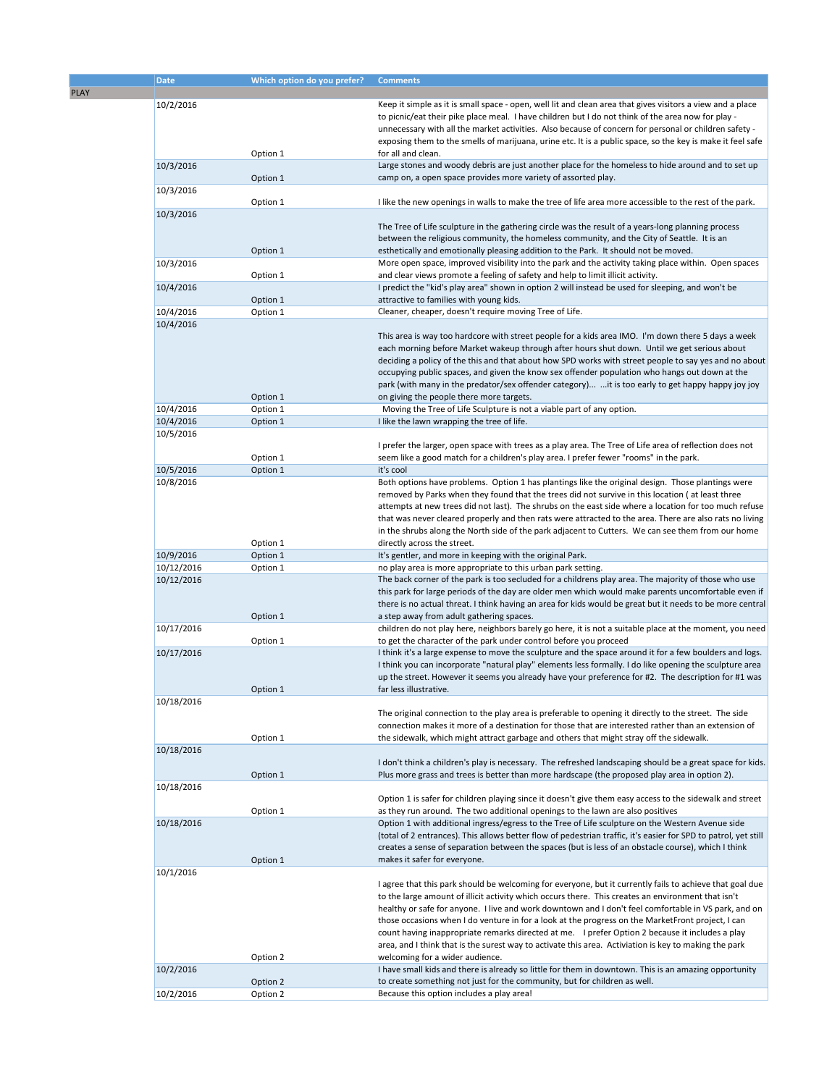|             | <b>Date</b> | Which option do you prefer? | <b>Comments</b>                                                                                                                                                                                                                                                                                                                                                                                                                                                                                                                                                                                                                                                            |
|-------------|-------------|-----------------------------|----------------------------------------------------------------------------------------------------------------------------------------------------------------------------------------------------------------------------------------------------------------------------------------------------------------------------------------------------------------------------------------------------------------------------------------------------------------------------------------------------------------------------------------------------------------------------------------------------------------------------------------------------------------------------|
| <b>PLAY</b> |             |                             |                                                                                                                                                                                                                                                                                                                                                                                                                                                                                                                                                                                                                                                                            |
|             | 10/2/2016   |                             | Keep it simple as it is small space - open, well lit and clean area that gives visitors a view and a place<br>to picnic/eat their pike place meal. I have children but I do not think of the area now for play -<br>unnecessary with all the market activities. Also because of concern for personal or children safety -                                                                                                                                                                                                                                                                                                                                                  |
|             |             | Option 1                    | exposing them to the smells of marijuana, urine etc. It is a public space, so the key is make it feel safe<br>for all and clean.                                                                                                                                                                                                                                                                                                                                                                                                                                                                                                                                           |
|             | 10/3/2016   | Option 1                    | Large stones and woody debris are just another place for the homeless to hide around and to set up<br>camp on, a open space provides more variety of assorted play.                                                                                                                                                                                                                                                                                                                                                                                                                                                                                                        |
|             | 10/3/2016   | Option 1                    | I like the new openings in walls to make the tree of life area more accessible to the rest of the park.                                                                                                                                                                                                                                                                                                                                                                                                                                                                                                                                                                    |
|             | 10/3/2016   |                             | The Tree of Life sculpture in the gathering circle was the result of a years-long planning process                                                                                                                                                                                                                                                                                                                                                                                                                                                                                                                                                                         |
|             |             | Option 1                    | between the religious community, the homeless community, and the City of Seattle. It is an<br>esthetically and emotionally pleasing addition to the Park. It should not be moved.                                                                                                                                                                                                                                                                                                                                                                                                                                                                                          |
|             | 10/3/2016   | Option 1                    | More open space, improved visibility into the park and the activity taking place within. Open spaces<br>and clear views promote a feeling of safety and help to limit illicit activity.                                                                                                                                                                                                                                                                                                                                                                                                                                                                                    |
|             | 10/4/2016   | Option 1                    | I predict the "kid's play area" shown in option 2 will instead be used for sleeping, and won't be<br>attractive to families with young kids.                                                                                                                                                                                                                                                                                                                                                                                                                                                                                                                               |
|             | 10/4/2016   | Option 1                    | Cleaner, cheaper, doesn't require moving Tree of Life.                                                                                                                                                                                                                                                                                                                                                                                                                                                                                                                                                                                                                     |
|             | 10/4/2016   | Option 1                    | This area is way too hardcore with street people for a kids area IMO. I'm down there 5 days a week<br>each morning before Market wakeup through after hours shut down. Until we get serious about<br>deciding a policy of the this and that about how SPD works with street people to say yes and no about<br>occupying public spaces, and given the know sex offender population who hangs out down at the<br>park (with many in the predator/sex offender category) it is too early to get happy happy joy joy<br>on giving the people there more targets.                                                                                                               |
|             | 10/4/2016   | Option 1                    | Moving the Tree of Life Sculpture is not a viable part of any option.                                                                                                                                                                                                                                                                                                                                                                                                                                                                                                                                                                                                      |
|             | 10/4/2016   | Option 1                    | I like the lawn wrapping the tree of life.                                                                                                                                                                                                                                                                                                                                                                                                                                                                                                                                                                                                                                 |
|             | 10/5/2016   |                             |                                                                                                                                                                                                                                                                                                                                                                                                                                                                                                                                                                                                                                                                            |
|             |             | Option 1                    | I prefer the larger, open space with trees as a play area. The Tree of Life area of reflection does not<br>seem like a good match for a children's play area. I prefer fewer "rooms" in the park.                                                                                                                                                                                                                                                                                                                                                                                                                                                                          |
|             | 10/5/2016   | Option 1                    | it's cool                                                                                                                                                                                                                                                                                                                                                                                                                                                                                                                                                                                                                                                                  |
|             | 10/8/2016   | Option 1                    | Both options have problems. Option 1 has plantings like the original design. Those plantings were<br>removed by Parks when they found that the trees did not survive in this location (at least three<br>attempts at new trees did not last). The shrubs on the east side where a location for too much refuse<br>that was never cleared properly and then rats were attracted to the area. There are also rats no living<br>in the shrubs along the North side of the park adjacent to Cutters. We can see them from our home<br>directly across the street.                                                                                                              |
|             | 10/9/2016   | Option 1                    | It's gentler, and more in keeping with the original Park.                                                                                                                                                                                                                                                                                                                                                                                                                                                                                                                                                                                                                  |
|             | 10/12/2016  | Option 1                    | no play area is more appropriate to this urban park setting.                                                                                                                                                                                                                                                                                                                                                                                                                                                                                                                                                                                                               |
|             | 10/12/2016  |                             | The back corner of the park is too secluded for a childrens play area. The majority of those who use<br>this park for large periods of the day are older men which would make parents uncomfortable even if<br>there is no actual threat. I think having an area for kids would be great but it needs to be more central                                                                                                                                                                                                                                                                                                                                                   |
|             | 10/17/2016  | Option 1                    | a step away from adult gathering spaces.<br>children do not play here, neighbors barely go here, it is not a suitable place at the moment, you need                                                                                                                                                                                                                                                                                                                                                                                                                                                                                                                        |
|             | 10/17/2016  | Option 1<br>Option 1        | to get the character of the park under control before you proceed<br>I think it's a large expense to move the sculpture and the space around it for a few boulders and logs.<br>I think you can incorporate "natural play" elements less formally. I do like opening the sculpture area<br>up the street. However it seems you already have your preference for #2. The description for #1 was<br>far less illustrative.                                                                                                                                                                                                                                                   |
|             | 10/18/2016  |                             |                                                                                                                                                                                                                                                                                                                                                                                                                                                                                                                                                                                                                                                                            |
|             |             | Option 1                    | The original connection to the play area is preferable to opening it directly to the street. The side<br>connection makes it more of a destination for those that are interested rather than an extension of<br>the sidewalk, which might attract garbage and others that might stray off the sidewalk.                                                                                                                                                                                                                                                                                                                                                                    |
|             | 10/18/2016  |                             |                                                                                                                                                                                                                                                                                                                                                                                                                                                                                                                                                                                                                                                                            |
|             |             | Option 1                    | I don't think a children's play is necessary. The refreshed landscaping should be a great space for kids.<br>Plus more grass and trees is better than more hardscape (the proposed play area in option 2).                                                                                                                                                                                                                                                                                                                                                                                                                                                                 |
|             | 10/18/2016  |                             |                                                                                                                                                                                                                                                                                                                                                                                                                                                                                                                                                                                                                                                                            |
|             |             | Option 1                    | Option 1 is safer for children playing since it doesn't give them easy access to the sidewalk and street<br>as they run around. The two additional openings to the lawn are also positives                                                                                                                                                                                                                                                                                                                                                                                                                                                                                 |
|             | 10/18/2016  |                             | Option 1 with additional ingress/egress to the Tree of Life sculpture on the Western Avenue side<br>(total of 2 entrances). This allows better flow of pedestrian traffic, it's easier for SPD to patrol, yet still<br>creates a sense of separation between the spaces (but is less of an obstacle course), which I think                                                                                                                                                                                                                                                                                                                                                 |
|             |             | Option 1                    | makes it safer for everyone.                                                                                                                                                                                                                                                                                                                                                                                                                                                                                                                                                                                                                                               |
|             | 10/1/2016   | Option 2                    | I agree that this park should be welcoming for everyone, but it currently fails to achieve that goal due<br>to the large amount of illicit activity which occurs there. This creates an environment that isn't<br>healthy or safe for anyone. I live and work downtown and I don't feel comfortable in VS park, and on<br>those occasions when I do venture in for a look at the progress on the MarketFront project, I can<br>count having inappropriate remarks directed at me. I prefer Option 2 because it includes a play<br>area, and I think that is the surest way to activate this area. Activiation is key to making the park<br>welcoming for a wider audience. |
|             | 10/2/2016   | Option 2                    | I have small kids and there is already so little for them in downtown. This is an amazing opportunity<br>to create something not just for the community, but for children as well.                                                                                                                                                                                                                                                                                                                                                                                                                                                                                         |
|             | 10/2/2016   | Option 2                    | Because this option includes a play area!                                                                                                                                                                                                                                                                                                                                                                                                                                                                                                                                                                                                                                  |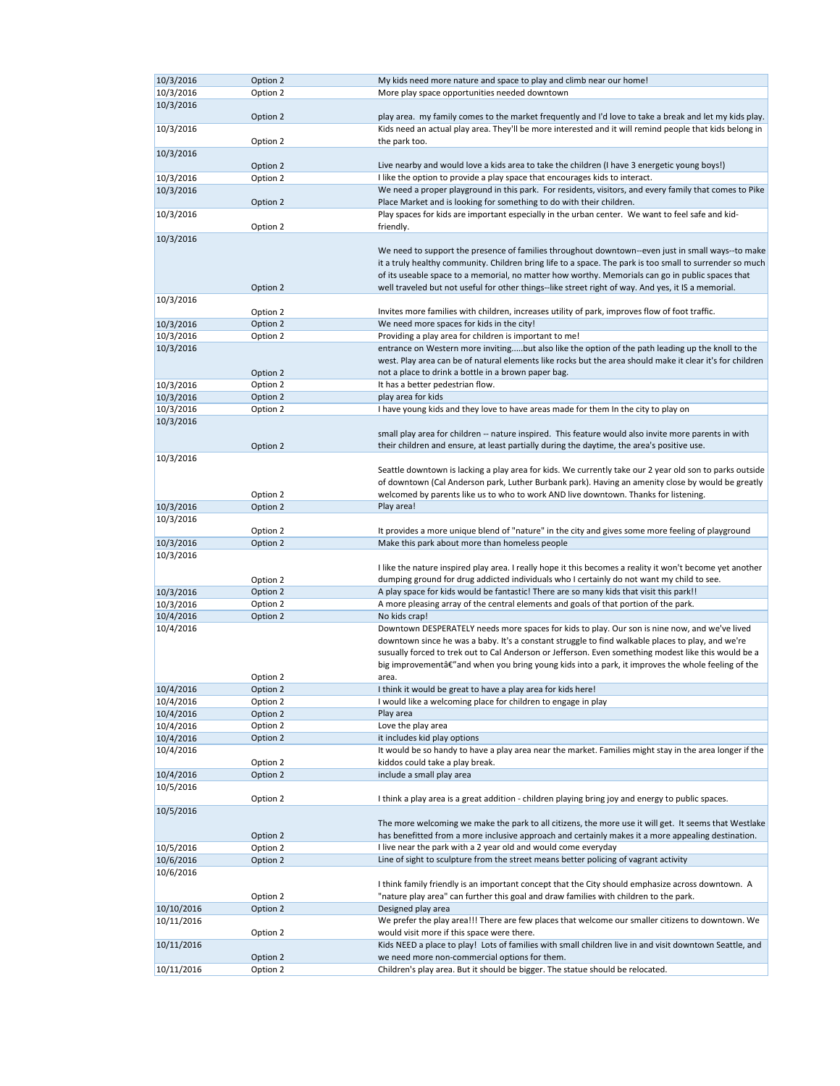| 10/3/2016  | Option 2             | My kids need more nature and space to play and climb near our home!                                                             |
|------------|----------------------|---------------------------------------------------------------------------------------------------------------------------------|
|            |                      |                                                                                                                                 |
| 10/3/2016  | Option 2             | More play space opportunities needed downtown                                                                                   |
| 10/3/2016  |                      |                                                                                                                                 |
|            | Option 2             | play area. my family comes to the market frequently and I'd love to take a break and let my kids play.                          |
|            |                      | Kids need an actual play area. They'll be more interested and it will remind people that kids belong in                         |
| 10/3/2016  |                      |                                                                                                                                 |
|            | Option 2             | the park too.                                                                                                                   |
| 10/3/2016  |                      |                                                                                                                                 |
|            | Option 2             | Live nearby and would love a kids area to take the children (I have 3 energetic young boys!)                                    |
|            |                      |                                                                                                                                 |
| 10/3/2016  | Option 2             | I like the option to provide a play space that encourages kids to interact.                                                     |
| 10/3/2016  |                      | We need a proper playground in this park. For residents, visitors, and every family that comes to Pike                          |
|            | Option 2             | Place Market and is looking for something to do with their children.                                                            |
|            |                      | Play spaces for kids are important especially in the urban center. We want to feel safe and kid-                                |
| 10/3/2016  |                      |                                                                                                                                 |
|            | Option 2             | friendly.                                                                                                                       |
| 10/3/2016  |                      |                                                                                                                                 |
|            |                      | We need to support the presence of families throughout downtown--even just in small ways--to make                               |
|            |                      |                                                                                                                                 |
|            |                      | it a truly healthy community. Children bring life to a space. The park is too small to surrender so much                        |
|            |                      | of its useable space to a memorial, no matter how worthy. Memorials can go in public spaces that                                |
|            | Option 2             | well traveled but not useful for other things--like street right of way. And yes, it IS a memorial.                             |
| 10/3/2016  |                      |                                                                                                                                 |
|            |                      |                                                                                                                                 |
|            | Option 2             | Invites more families with children, increases utility of park, improves flow of foot traffic.                                  |
| 10/3/2016  | Option 2             | We need more spaces for kids in the city!                                                                                       |
| 10/3/2016  | Option 2             | Providing a play area for children is important to me!                                                                          |
|            |                      |                                                                                                                                 |
| 10/3/2016  |                      | entrance on Western more invitingbut also like the option of the path leading up the knoll to the                               |
|            |                      | west. Play area can be of natural elements like rocks but the area should make it clear it's for children                       |
|            | Option 2             | not a place to drink a bottle in a brown paper bag.                                                                             |
| 10/3/2016  | Option 2             | It has a better pedestrian flow.                                                                                                |
|            |                      |                                                                                                                                 |
| 10/3/2016  | Option 2             | play area for kids                                                                                                              |
| 10/3/2016  | Option 2             | I have young kids and they love to have areas made for them In the city to play on                                              |
| 10/3/2016  |                      |                                                                                                                                 |
|            |                      | small play area for children -- nature inspired. This feature would also invite more parents in with                            |
|            |                      |                                                                                                                                 |
|            | Option 2             | their children and ensure, at least partially during the daytime, the area's positive use.                                      |
| 10/3/2016  |                      |                                                                                                                                 |
|            |                      | Seattle downtown is lacking a play area for kids. We currently take our 2 year old son to parks outside                         |
|            |                      |                                                                                                                                 |
|            |                      | of downtown (Cal Anderson park, Luther Burbank park). Having an amenity close by would be greatly                               |
|            | Option 2             | welcomed by parents like us to who to work AND live downtown. Thanks for listening.                                             |
| 10/3/2016  | Option 2             | Play area!                                                                                                                      |
| 10/3/2016  |                      |                                                                                                                                 |
|            |                      |                                                                                                                                 |
|            | Option 2             | It provides a more unique blend of "nature" in the city and gives some more feeling of playground                               |
| 10/3/2016  | Option 2             | Make this park about more than homeless people                                                                                  |
| 10/3/2016  |                      |                                                                                                                                 |
|            |                      | I like the nature inspired play area. I really hope it this becomes a reality it won't become yet another                       |
|            |                      |                                                                                                                                 |
|            | Option 2             | dumping ground for drug addicted individuals who I certainly do not want my child to see.                                       |
| 10/3/2016  | Option 2             | A play space for kids would be fantastic! There are so many kids that visit this park!!                                         |
| 10/3/2016  | Option 2             | A more pleasing array of the central elements and goals of that portion of the park.                                            |
| 10/4/2016  | Option 2             | No kids crap!                                                                                                                   |
|            |                      |                                                                                                                                 |
| 10/4/2016  |                      | Downtown DESPERATELY needs more spaces for kids to play. Our son is nine now, and we've lived                                   |
|            |                      |                                                                                                                                 |
|            |                      | downtown since he was a baby. It's a constant struggle to find walkable places to play, and we're                               |
|            |                      |                                                                                                                                 |
|            |                      | susually forced to trek out to Cal Anderson or Jefferson. Even something modest like this would be a                            |
|            |                      | big improvementâ€" and when you bring young kids into a park, it improves the whole feeling of the                              |
|            | Option 2             | area.                                                                                                                           |
| 10/4/2016  | Option 2             | I think it would be great to have a play area for kids here!                                                                    |
|            |                      |                                                                                                                                 |
| 10/4/2016  | Option 2             | I would like a welcoming place for children to engage in play                                                                   |
| 10/4/2016  | Option 2             | Play area                                                                                                                       |
| 10/4/2016  | Option 2             | Love the play area                                                                                                              |
| 10/4/2016  | Option 2             | it includes kid play options                                                                                                    |
|            |                      |                                                                                                                                 |
| 10/4/2016  |                      | It would be so handy to have a play area near the market. Families might stay in the area longer if the                         |
|            | Option 2             | kiddos could take a play break.                                                                                                 |
| 10/4/2016  | Option 2             | include a small play area                                                                                                       |
| 10/5/2016  |                      |                                                                                                                                 |
|            |                      |                                                                                                                                 |
|            | Option 2             | I think a play area is a great addition - children playing bring joy and energy to public spaces.                               |
| 10/5/2016  |                      |                                                                                                                                 |
|            |                      | The more welcoming we make the park to all citizens, the more use it will get. It seems that Westlake                           |
|            | Option 2             | has benefitted from a more inclusive approach and certainly makes it a more appealing destination.                              |
|            |                      |                                                                                                                                 |
| 10/5/2016  | Option 2             | I live near the park with a 2 year old and would come everyday                                                                  |
| 10/6/2016  | Option 2             | Line of sight to sculpture from the street means better policing of vagrant activity                                            |
| 10/6/2016  |                      |                                                                                                                                 |
|            |                      | I think family friendly is an important concept that the City should emphasize across downtown. A                               |
|            |                      |                                                                                                                                 |
|            | Option 2             | "nature play area" can further this goal and draw families with children to the park.                                           |
| 10/10/2016 | Option 2             | Designed play area                                                                                                              |
| 10/11/2016 |                      | We prefer the play area!!! There are few places that welcome our smaller citizens to downtown. We                               |
|            |                      |                                                                                                                                 |
|            | Option 2             | would visit more if this space were there.                                                                                      |
| 10/11/2016 |                      | Kids NEED a place to play! Lots of families with small children live in and visit downtown Seattle, and                         |
| 10/11/2016 | Option 2<br>Option 2 | we need more non-commercial options for them.<br>Children's play area. But it should be bigger. The statue should be relocated. |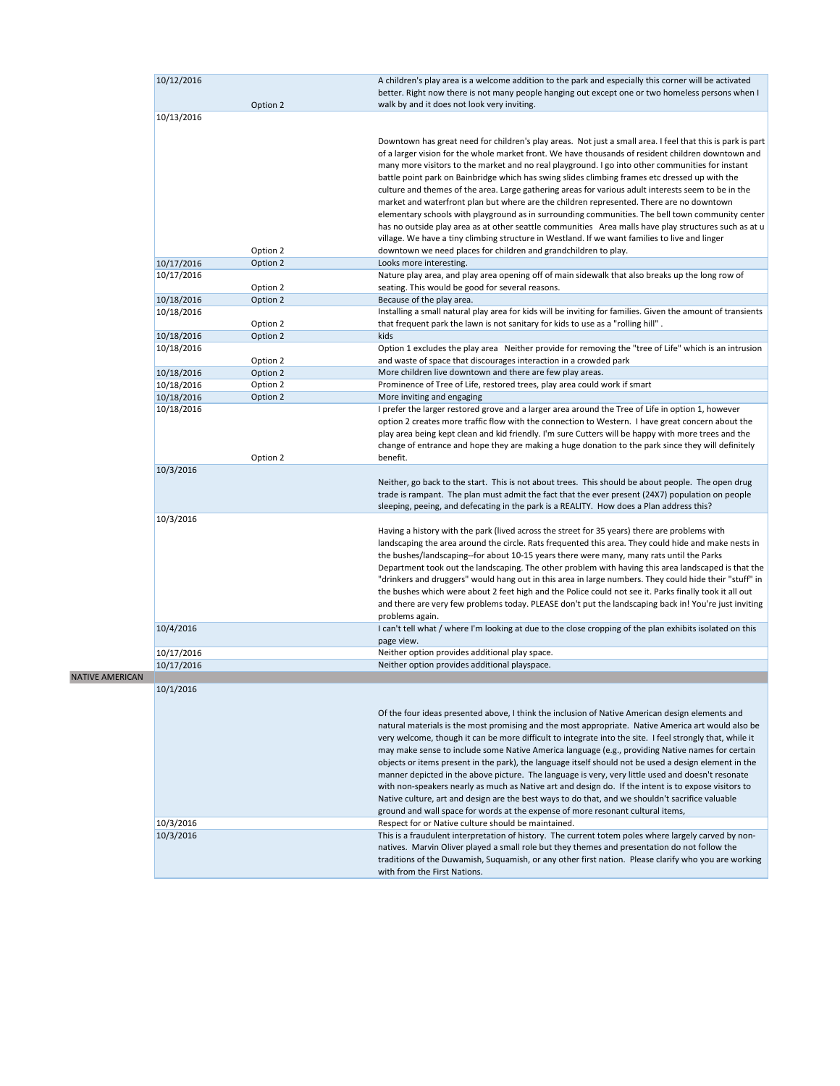| 10/12/2016 |          | A children's play area is a welcome addition to the park and especially this corner will be activated<br>better. Right now there is not many people hanging out except one or two homeless persons when I                                                                                                                                                                                                                                                                                                                                                                                                                 |
|------------|----------|---------------------------------------------------------------------------------------------------------------------------------------------------------------------------------------------------------------------------------------------------------------------------------------------------------------------------------------------------------------------------------------------------------------------------------------------------------------------------------------------------------------------------------------------------------------------------------------------------------------------------|
|            | Option 2 | walk by and it does not look very inviting.                                                                                                                                                                                                                                                                                                                                                                                                                                                                                                                                                                               |
| 10/13/2016 |          |                                                                                                                                                                                                                                                                                                                                                                                                                                                                                                                                                                                                                           |
|            |          | Downtown has great need for children's play areas. Not just a small area. I feel that this is park is part<br>of a larger vision for the whole market front. We have thousands of resident children downtown and<br>many more visitors to the market and no real playground. I go into other communities for instant<br>battle point park on Bainbridge which has swing slides climbing frames etc dressed up with the<br>culture and themes of the area. Large gathering areas for various adult interests seem to be in the<br>market and waterfront plan but where are the children represented. There are no downtown |
|            |          | elementary schools with playground as in surrounding communities. The bell town community center<br>has no outside play area as at other seattle communities Area malls have play structures such as at u<br>village. We have a tiny climbing structure in Westland. If we want families to live and linger                                                                                                                                                                                                                                                                                                               |
|            | Option 2 | downtown we need places for children and grandchildren to play.                                                                                                                                                                                                                                                                                                                                                                                                                                                                                                                                                           |
| 10/17/2016 | Option 2 | Looks more interesting.                                                                                                                                                                                                                                                                                                                                                                                                                                                                                                                                                                                                   |
| 10/17/2016 | Option 2 | Nature play area, and play area opening off of main sidewalk that also breaks up the long row of<br>seating. This would be good for several reasons.                                                                                                                                                                                                                                                                                                                                                                                                                                                                      |
| 10/18/2016 | Option 2 | Because of the play area.                                                                                                                                                                                                                                                                                                                                                                                                                                                                                                                                                                                                 |
| 10/18/2016 |          | Installing a small natural play area for kids will be inviting for families. Given the amount of transients                                                                                                                                                                                                                                                                                                                                                                                                                                                                                                               |
|            | Option 2 | that frequent park the lawn is not sanitary for kids to use as a "rolling hill".                                                                                                                                                                                                                                                                                                                                                                                                                                                                                                                                          |
| 10/18/2016 | Option 2 | kids                                                                                                                                                                                                                                                                                                                                                                                                                                                                                                                                                                                                                      |
| 10/18/2016 |          | Option 1 excludes the play area Neither provide for removing the "tree of Life" which is an intrusion                                                                                                                                                                                                                                                                                                                                                                                                                                                                                                                     |
|            | Option 2 | and waste of space that discourages interaction in a crowded park                                                                                                                                                                                                                                                                                                                                                                                                                                                                                                                                                         |
| 10/18/2016 | Option 2 | More children live downtown and there are few play areas.                                                                                                                                                                                                                                                                                                                                                                                                                                                                                                                                                                 |
| 10/18/2016 | Option 2 | Prominence of Tree of Life, restored trees, play area could work if smart                                                                                                                                                                                                                                                                                                                                                                                                                                                                                                                                                 |
| 10/18/2016 | Option 2 | More inviting and engaging                                                                                                                                                                                                                                                                                                                                                                                                                                                                                                                                                                                                |
| 10/18/2016 |          | I prefer the larger restored grove and a larger area around the Tree of Life in option 1, however<br>option 2 creates more traffic flow with the connection to Western. I have great concern about the<br>play area being kept clean and kid friendly. I'm sure Cutters will be happy with more trees and the<br>change of entrance and hope they are making a huge donation to the park since they will definitely                                                                                                                                                                                                       |
|            | Option 2 | benefit.                                                                                                                                                                                                                                                                                                                                                                                                                                                                                                                                                                                                                  |
| 10/3/2016  |          | Neither, go back to the start. This is not about trees. This should be about people. The open drug<br>trade is rampant. The plan must admit the fact that the ever present (24X7) population on people<br>sleeping, peeing, and defecating in the park is a REALITY. How does a Plan address this?                                                                                                                                                                                                                                                                                                                        |
| 10/3/2016  |          |                                                                                                                                                                                                                                                                                                                                                                                                                                                                                                                                                                                                                           |
|            |          | Having a history with the park (lived across the street for 35 years) there are problems with<br>landscaping the area around the circle. Rats frequented this area. They could hide and make nests in                                                                                                                                                                                                                                                                                                                                                                                                                     |
|            |          | the bushes/landscaping--for about 10-15 years there were many, many rats until the Parks<br>Department took out the landscaping. The other problem with having this area landscaped is that the                                                                                                                                                                                                                                                                                                                                                                                                                           |
|            |          | "drinkers and druggers" would hang out in this area in large numbers. They could hide their "stuff" in                                                                                                                                                                                                                                                                                                                                                                                                                                                                                                                    |
|            |          | the bushes which were about 2 feet high and the Police could not see it. Parks finally took it all out                                                                                                                                                                                                                                                                                                                                                                                                                                                                                                                    |
|            |          | and there are very few problems today. PLEASE don't put the landscaping back in! You're just inviting                                                                                                                                                                                                                                                                                                                                                                                                                                                                                                                     |
|            |          | problems again.                                                                                                                                                                                                                                                                                                                                                                                                                                                                                                                                                                                                           |
| 10/4/2016  |          | I can't tell what / where I'm looking at due to the close cropping of the plan exhibits isolated on this<br>page view.                                                                                                                                                                                                                                                                                                                                                                                                                                                                                                    |
| 10/17/2016 |          | Neither option provides additional play space.                                                                                                                                                                                                                                                                                                                                                                                                                                                                                                                                                                            |
| 10/17/2016 |          | Neither option provides additional playspace.                                                                                                                                                                                                                                                                                                                                                                                                                                                                                                                                                                             |
|            |          |                                                                                                                                                                                                                                                                                                                                                                                                                                                                                                                                                                                                                           |

NATIVE AMERICAN 10/1/2016

> Of the four ideas presented above, I think the inclusion of Native American design elements and natural materials is the most promising and the most appropriate. Native America art would also be very welcome, though it can be more difficult to integrate into the site. I feel strongly that, while it may make sense to include some Native America language (e.g., providing Native names for certain objects or items present in the park), the language itself should not be used a design element in the

|           | and and a the the present in the partyl the language itself showld hat we ased a acsign crement in the<br>manner depicted in the above picture. The language is very, very little used and doesn't resonate<br>with non-speakers nearly as much as Native art and design do. If the intent is to expose visitors to<br>Native culture, art and design are the best ways to do that, and we shouldn't sacrifice valuable |
|-----------|-------------------------------------------------------------------------------------------------------------------------------------------------------------------------------------------------------------------------------------------------------------------------------------------------------------------------------------------------------------------------------------------------------------------------|
|           | ground and wall space for words at the expense of more resonant cultural items,                                                                                                                                                                                                                                                                                                                                         |
| 10/3/2016 | Respect for or Native culture should be maintained.                                                                                                                                                                                                                                                                                                                                                                     |
| 10/3/2016 | This is a fraudulent interpretation of history. The current totem poles where largely carved by non-<br>natives. Marvin Oliver played a small role but they themes and presentation do not follow the<br>traditions of the Duwamish, Suquamish, or any other first nation. Please clarify who you are working<br>with from the First Nations.                                                                           |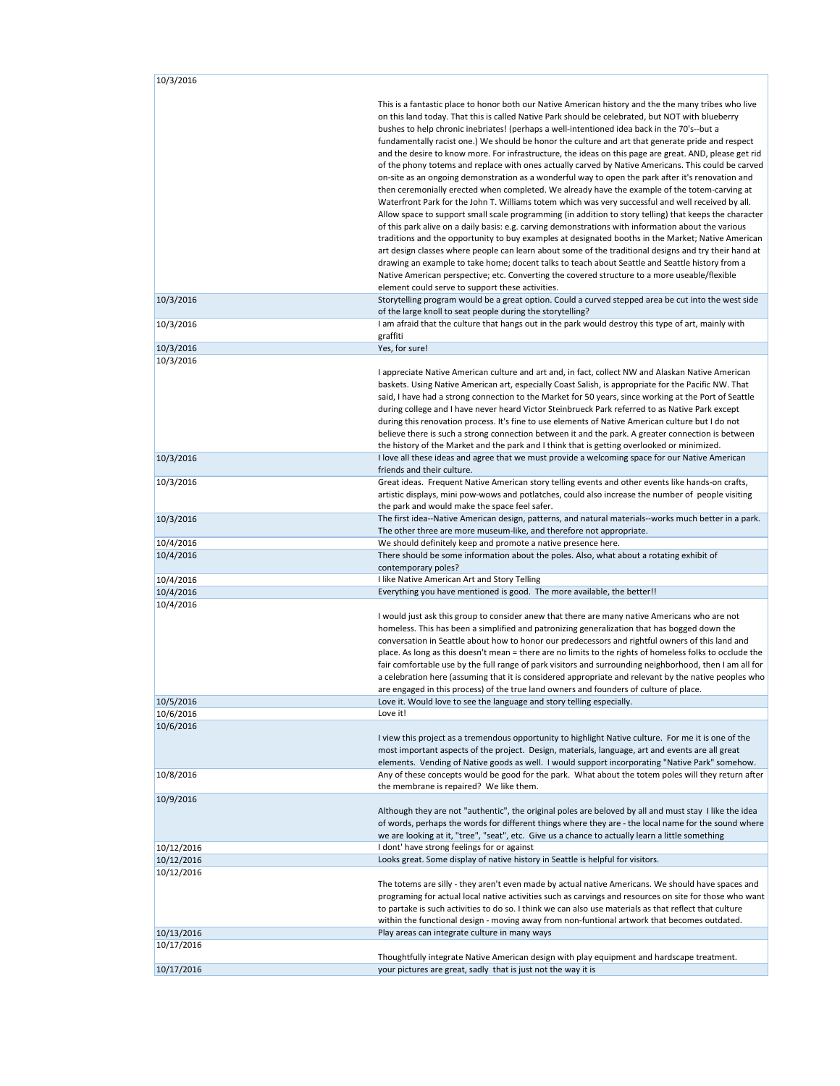| 10/3/2016                |                                                                                                                                                                                                                                                                                                                                                                                                                                                                                                                                                                                                                                                                                                                                                                                                                                                                                                                                                                                                                                                                                                                                                                                                                                                                                                                                                                                                                                                                                                                                                                                                                                   |
|--------------------------|-----------------------------------------------------------------------------------------------------------------------------------------------------------------------------------------------------------------------------------------------------------------------------------------------------------------------------------------------------------------------------------------------------------------------------------------------------------------------------------------------------------------------------------------------------------------------------------------------------------------------------------------------------------------------------------------------------------------------------------------------------------------------------------------------------------------------------------------------------------------------------------------------------------------------------------------------------------------------------------------------------------------------------------------------------------------------------------------------------------------------------------------------------------------------------------------------------------------------------------------------------------------------------------------------------------------------------------------------------------------------------------------------------------------------------------------------------------------------------------------------------------------------------------------------------------------------------------------------------------------------------------|
|                          | This is a fantastic place to honor both our Native American history and the the many tribes who live<br>on this land today. That this is called Native Park should be celebrated, but NOT with blueberry<br>bushes to help chronic inebriates! (perhaps a well-intentioned idea back in the 70's--but a<br>fundamentally racist one.) We should be honor the culture and art that generate pride and respect<br>and the desire to know more. For infrastructure, the ideas on this page are great. AND, please get rid<br>of the phony totems and replace with ones actually carved by Native Americans. This could be carved<br>on-site as an ongoing demonstration as a wonderful way to open the park after it's renovation and<br>then ceremonially erected when completed. We already have the example of the totem-carving at<br>Waterfront Park for the John T. Williams totem which was very successful and well received by all.<br>Allow space to support small scale programming (in addition to story telling) that keeps the character<br>of this park alive on a daily basis: e.g. carving demonstrations with information about the various<br>traditions and the opportunity to buy examples at designated booths in the Market; Native American<br>art design classes where people can learn about some of the traditional designs and try their hand at<br>drawing an example to take home; docent talks to teach about Seattle and Seattle history from a<br>Native American perspective; etc. Converting the covered structure to a more useable/flexible<br>element could serve to support these activities. |
| 10/3/2016                | Storytelling program would be a great option. Could a curved stepped area be cut into the west side<br>of the large knoll to seat people during the storytelling?                                                                                                                                                                                                                                                                                                                                                                                                                                                                                                                                                                                                                                                                                                                                                                                                                                                                                                                                                                                                                                                                                                                                                                                                                                                                                                                                                                                                                                                                 |
| 10/3/2016                | I am afraid that the culture that hangs out in the park would destroy this type of art, mainly with<br>graffiti                                                                                                                                                                                                                                                                                                                                                                                                                                                                                                                                                                                                                                                                                                                                                                                                                                                                                                                                                                                                                                                                                                                                                                                                                                                                                                                                                                                                                                                                                                                   |
| 10/3/2016                | Yes, for sure!                                                                                                                                                                                                                                                                                                                                                                                                                                                                                                                                                                                                                                                                                                                                                                                                                                                                                                                                                                                                                                                                                                                                                                                                                                                                                                                                                                                                                                                                                                                                                                                                                    |
| 10/3/2016                | I appreciate Native American culture and art and, in fact, collect NW and Alaskan Native American<br>baskets. Using Native American art, especially Coast Salish, is appropriate for the Pacific NW. That<br>said, I have had a strong connection to the Market for 50 years, since working at the Port of Seattle<br>during college and I have never heard Victor Steinbrueck Park referred to as Native Park except<br>during this renovation process. It's fine to use elements of Native American culture but I do not<br>believe there is such a strong connection between it and the park. A greater connection is between<br>the history of the Market and the park and I think that is getting overlooked or minimized.                                                                                                                                                                                                                                                                                                                                                                                                                                                                                                                                                                                                                                                                                                                                                                                                                                                                                                   |
| 10/3/2016                | I love all these ideas and agree that we must provide a welcoming space for our Native American<br>friends and their culture.                                                                                                                                                                                                                                                                                                                                                                                                                                                                                                                                                                                                                                                                                                                                                                                                                                                                                                                                                                                                                                                                                                                                                                                                                                                                                                                                                                                                                                                                                                     |
| 10/3/2016                | Great ideas. Frequent Native American story telling events and other events like hands-on crafts,<br>artistic displays, mini pow-wows and potlatches, could also increase the number of people visiting<br>the park and would make the space feel safer.                                                                                                                                                                                                                                                                                                                                                                                                                                                                                                                                                                                                                                                                                                                                                                                                                                                                                                                                                                                                                                                                                                                                                                                                                                                                                                                                                                          |
| 10/3/2016                | The first idea--Native American design, patterns, and natural materials--works much better in a park.<br>The other three are more museum-like, and therefore not appropriate.                                                                                                                                                                                                                                                                                                                                                                                                                                                                                                                                                                                                                                                                                                                                                                                                                                                                                                                                                                                                                                                                                                                                                                                                                                                                                                                                                                                                                                                     |
| 10/4/2016                | We should definitely keep and promote a native presence here.                                                                                                                                                                                                                                                                                                                                                                                                                                                                                                                                                                                                                                                                                                                                                                                                                                                                                                                                                                                                                                                                                                                                                                                                                                                                                                                                                                                                                                                                                                                                                                     |
| 10/4/2016                | There should be some information about the poles. Also, what about a rotating exhibit of<br>contemporary poles?                                                                                                                                                                                                                                                                                                                                                                                                                                                                                                                                                                                                                                                                                                                                                                                                                                                                                                                                                                                                                                                                                                                                                                                                                                                                                                                                                                                                                                                                                                                   |
| 10/4/2016                | I like Native American Art and Story Telling                                                                                                                                                                                                                                                                                                                                                                                                                                                                                                                                                                                                                                                                                                                                                                                                                                                                                                                                                                                                                                                                                                                                                                                                                                                                                                                                                                                                                                                                                                                                                                                      |
| 10/4/2016                | Everything you have mentioned is good. The more available, the better!!                                                                                                                                                                                                                                                                                                                                                                                                                                                                                                                                                                                                                                                                                                                                                                                                                                                                                                                                                                                                                                                                                                                                                                                                                                                                                                                                                                                                                                                                                                                                                           |
| 10/4/2016                | I would just ask this group to consider anew that there are many native Americans who are not<br>homeless. This has been a simplified and patronizing generalization that has bogged down the<br>conversation in Seattle about how to honor our predecessors and rightful owners of this land and<br>place. As long as this doesn't mean = there are no limits to the rights of homeless folks to occlude the<br>fair comfortable use by the full range of park visitors and surrounding neighborhood, then I am all for<br>a celebration here (assuming that it is considered appropriate and relevant by the native peoples who<br>are engaged in this process) of the true land owners and founders of culture of place.                                                                                                                                                                                                                                                                                                                                                                                                                                                                                                                                                                                                                                                                                                                                                                                                                                                                                                       |
| 10/5/2016                | Love it. Would love to see the language and story telling especially.                                                                                                                                                                                                                                                                                                                                                                                                                                                                                                                                                                                                                                                                                                                                                                                                                                                                                                                                                                                                                                                                                                                                                                                                                                                                                                                                                                                                                                                                                                                                                             |
| 10/6/2016                | Love it!                                                                                                                                                                                                                                                                                                                                                                                                                                                                                                                                                                                                                                                                                                                                                                                                                                                                                                                                                                                                                                                                                                                                                                                                                                                                                                                                                                                                                                                                                                                                                                                                                          |
| 10/6/2016                | I view this project as a tremendous opportunity to highlight Native culture. For me it is one of the<br>most important aspects of the project. Design, materials, language, art and events are all great<br>elements. Vending of Native goods as well. I would support incorporating "Native Park" somehow.                                                                                                                                                                                                                                                                                                                                                                                                                                                                                                                                                                                                                                                                                                                                                                                                                                                                                                                                                                                                                                                                                                                                                                                                                                                                                                                       |
| 10/8/2016                | Any of these concepts would be good for the park. What about the totem poles will they return after<br>the membrane is repaired? We like them.                                                                                                                                                                                                                                                                                                                                                                                                                                                                                                                                                                                                                                                                                                                                                                                                                                                                                                                                                                                                                                                                                                                                                                                                                                                                                                                                                                                                                                                                                    |
| 10/9/2016                | Although they are not "authentic", the original poles are beloved by all and must stay I like the idea<br>of words, perhaps the words for different things where they are - the local name for the sound where<br>we are looking at it, "tree", "seat", etc. Give us a chance to actually learn a little something                                                                                                                                                                                                                                                                                                                                                                                                                                                                                                                                                                                                                                                                                                                                                                                                                                                                                                                                                                                                                                                                                                                                                                                                                                                                                                                |
| 10/12/2016               | I dont' have strong feelings for or against                                                                                                                                                                                                                                                                                                                                                                                                                                                                                                                                                                                                                                                                                                                                                                                                                                                                                                                                                                                                                                                                                                                                                                                                                                                                                                                                                                                                                                                                                                                                                                                       |
| 10/12/2016<br>10/12/2016 | Looks great. Some display of native history in Seattle is helpful for visitors.<br>The totems are silly - they aren't even made by actual native Americans. We should have spaces and<br>programing for actual local native activities such as carvings and resources on site for those who want<br>to partake is such activities to do so. I think we can also use materials as that reflect that culture<br>within the functional design - moving away from non-funtional artwork that becomes outdated.                                                                                                                                                                                                                                                                                                                                                                                                                                                                                                                                                                                                                                                                                                                                                                                                                                                                                                                                                                                                                                                                                                                        |
| 10/13/2016               | Play areas can integrate culture in many ways                                                                                                                                                                                                                                                                                                                                                                                                                                                                                                                                                                                                                                                                                                                                                                                                                                                                                                                                                                                                                                                                                                                                                                                                                                                                                                                                                                                                                                                                                                                                                                                     |
| 10/17/2016               | Thoughtfully integrate Native American design with play equipment and hardscape treatment.                                                                                                                                                                                                                                                                                                                                                                                                                                                                                                                                                                                                                                                                                                                                                                                                                                                                                                                                                                                                                                                                                                                                                                                                                                                                                                                                                                                                                                                                                                                                        |
| 10/17/2016               | your pictures are great, sadly that is just not the way it is                                                                                                                                                                                                                                                                                                                                                                                                                                                                                                                                                                                                                                                                                                                                                                                                                                                                                                                                                                                                                                                                                                                                                                                                                                                                                                                                                                                                                                                                                                                                                                     |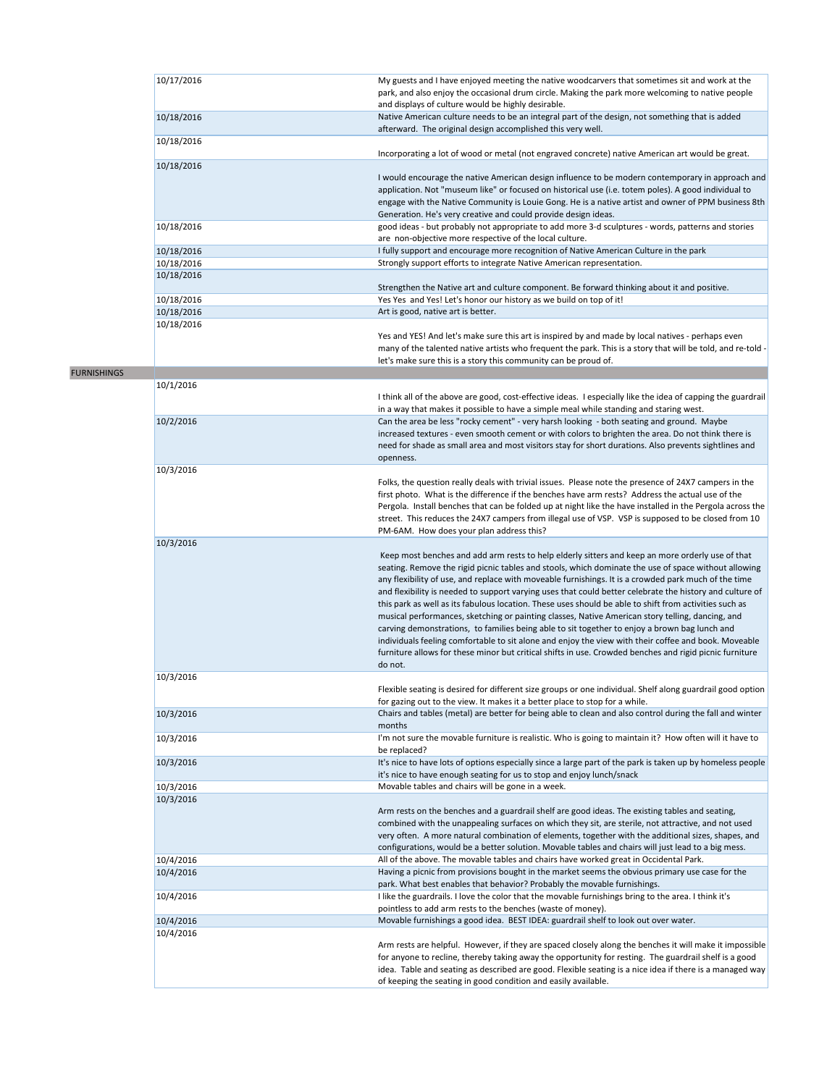|                    | 10/17/2016 | My guests and I have enjoyed meeting the native woodcarvers that sometimes sit and work at the<br>park, and also enjoy the occasional drum circle. Making the park more welcoming to native people<br>and displays of culture would be highly desirable.                                                                                                                                                                                                                                                                                                                                                                                                                                                                                                                                                                                                                                                                                                                  |
|--------------------|------------|---------------------------------------------------------------------------------------------------------------------------------------------------------------------------------------------------------------------------------------------------------------------------------------------------------------------------------------------------------------------------------------------------------------------------------------------------------------------------------------------------------------------------------------------------------------------------------------------------------------------------------------------------------------------------------------------------------------------------------------------------------------------------------------------------------------------------------------------------------------------------------------------------------------------------------------------------------------------------|
|                    | 10/18/2016 | Native American culture needs to be an integral part of the design, not something that is added<br>afterward. The original design accomplished this very well.                                                                                                                                                                                                                                                                                                                                                                                                                                                                                                                                                                                                                                                                                                                                                                                                            |
|                    | 10/18/2016 | Incorporating a lot of wood or metal (not engraved concrete) native American art would be great.                                                                                                                                                                                                                                                                                                                                                                                                                                                                                                                                                                                                                                                                                                                                                                                                                                                                          |
|                    | 10/18/2016 | I would encourage the native American design influence to be modern contemporary in approach and<br>application. Not "museum like" or focused on historical use (i.e. totem poles). A good individual to<br>engage with the Native Community is Louie Gong. He is a native artist and owner of PPM business 8th                                                                                                                                                                                                                                                                                                                                                                                                                                                                                                                                                                                                                                                           |
|                    | 10/18/2016 | Generation. He's very creative and could provide design ideas.<br>good ideas - but probably not appropriate to add more 3-d sculptures - words, patterns and stories<br>are non-objective more respective of the local culture.                                                                                                                                                                                                                                                                                                                                                                                                                                                                                                                                                                                                                                                                                                                                           |
|                    | 10/18/2016 | I fully support and encourage more recognition of Native American Culture in the park                                                                                                                                                                                                                                                                                                                                                                                                                                                                                                                                                                                                                                                                                                                                                                                                                                                                                     |
|                    | 10/18/2016 | Strongly support efforts to integrate Native American representation.                                                                                                                                                                                                                                                                                                                                                                                                                                                                                                                                                                                                                                                                                                                                                                                                                                                                                                     |
|                    | 10/18/2016 | Strengthen the Native art and culture component. Be forward thinking about it and positive.                                                                                                                                                                                                                                                                                                                                                                                                                                                                                                                                                                                                                                                                                                                                                                                                                                                                               |
|                    | 10/18/2016 | Yes Yes and Yes! Let's honor our history as we build on top of it!                                                                                                                                                                                                                                                                                                                                                                                                                                                                                                                                                                                                                                                                                                                                                                                                                                                                                                        |
|                    | 10/18/2016 | Art is good, native art is better.                                                                                                                                                                                                                                                                                                                                                                                                                                                                                                                                                                                                                                                                                                                                                                                                                                                                                                                                        |
|                    | 10/18/2016 | Yes and YES! And let's make sure this art is inspired by and made by local natives - perhaps even<br>many of the talented native artists who frequent the park. This is a story that will be told, and re-told -<br>let's make sure this is a story this community can be proud of.                                                                                                                                                                                                                                                                                                                                                                                                                                                                                                                                                                                                                                                                                       |
| <b>FURNISHINGS</b> |            |                                                                                                                                                                                                                                                                                                                                                                                                                                                                                                                                                                                                                                                                                                                                                                                                                                                                                                                                                                           |
|                    | 10/1/2016  | I think all of the above are good, cost-effective ideas. I especially like the idea of capping the guardrail<br>in a way that makes it possible to have a simple meal while standing and staring west.                                                                                                                                                                                                                                                                                                                                                                                                                                                                                                                                                                                                                                                                                                                                                                    |
|                    | 10/2/2016  | Can the area be less "rocky cement" - very harsh looking - both seating and ground. Maybe<br>increased textures - even smooth cement or with colors to brighten the area. Do not think there is<br>need for shade as small area and most visitors stay for short durations. Also prevents sightlines and<br>openness.                                                                                                                                                                                                                                                                                                                                                                                                                                                                                                                                                                                                                                                     |
|                    | 10/3/2016  | Folks, the question really deals with trivial issues. Please note the presence of 24X7 campers in the<br>first photo. What is the difference if the benches have arm rests? Address the actual use of the<br>Pergola. Install benches that can be folded up at night like the have installed in the Pergola across the<br>street. This reduces the 24X7 campers from illegal use of VSP. VSP is supposed to be closed from 10<br>PM-6AM. How does your plan address this?                                                                                                                                                                                                                                                                                                                                                                                                                                                                                                 |
|                    | 10/3/2016  | Keep most benches and add arm rests to help elderly sitters and keep an more orderly use of that<br>seating. Remove the rigid picnic tables and stools, which dominate the use of space without allowing<br>any flexibility of use, and replace with moveable furnishings. It is a crowded park much of the time<br>and flexibility is needed to support varying uses that could better celebrate the history and culture of<br>this park as well as its fabulous location. These uses should be able to shift from activities such as<br>musical performances, sketching or painting classes, Native American story telling, dancing, and<br>carving demonstrations, to families being able to sit together to enjoy a brown bag lunch and<br>individuals feeling comfortable to sit alone and enjoy the view with their coffee and book. Moveable<br>furniture allows for these minor but critical shifts in use. Crowded benches and rigid picnic furniture<br>do not. |
|                    | 10/3/2016  |                                                                                                                                                                                                                                                                                                                                                                                                                                                                                                                                                                                                                                                                                                                                                                                                                                                                                                                                                                           |
|                    |            | Flexible seating is desired for different size groups or one individual. Shelf along guardrail good option<br>for gazing out to the view. It makes it a better place to stop for a while.                                                                                                                                                                                                                                                                                                                                                                                                                                                                                                                                                                                                                                                                                                                                                                                 |
|                    | 10/3/2016  | Chairs and tables (metal) are better for being able to clean and also control during the fall and winter<br>months                                                                                                                                                                                                                                                                                                                                                                                                                                                                                                                                                                                                                                                                                                                                                                                                                                                        |
|                    | 10/3/2016  | I'm not sure the movable furniture is realistic. Who is going to maintain it? How often will it have to<br>be replaced?                                                                                                                                                                                                                                                                                                                                                                                                                                                                                                                                                                                                                                                                                                                                                                                                                                                   |
|                    | 10/3/2016  | It's nice to have lots of options especially since a large part of the park is taken up by homeless people<br>it's nice to have enough seating for us to stop and enjoy lunch/snack                                                                                                                                                                                                                                                                                                                                                                                                                                                                                                                                                                                                                                                                                                                                                                                       |
|                    | 10/3/2016  | Movable tables and chairs will be gone in a week.                                                                                                                                                                                                                                                                                                                                                                                                                                                                                                                                                                                                                                                                                                                                                                                                                                                                                                                         |
|                    | 10/3/2016  | Arm rests on the benches and a guardrail shelf are good ideas. The existing tables and seating,<br>combined with the unappealing surfaces on which they sit, are sterile, not attractive, and not used<br>very often. A more natural combination of elements, together with the additional sizes, shapes, and<br>configurations, would be a better solution. Movable tables and chairs will just lead to a big mess.                                                                                                                                                                                                                                                                                                                                                                                                                                                                                                                                                      |
|                    | 10/4/2016  | All of the above. The movable tables and chairs have worked great in Occidental Park.                                                                                                                                                                                                                                                                                                                                                                                                                                                                                                                                                                                                                                                                                                                                                                                                                                                                                     |
|                    | 10/4/2016  | Having a picnic from provisions bought in the market seems the obvious primary use case for the<br>park. What best enables that behavior? Probably the movable furnishings.                                                                                                                                                                                                                                                                                                                                                                                                                                                                                                                                                                                                                                                                                                                                                                                               |
|                    | 10/4/2016  | I like the guardrails. I love the color that the movable furnishings bring to the area. I think it's<br>pointless to add arm rests to the benches (waste of money).                                                                                                                                                                                                                                                                                                                                                                                                                                                                                                                                                                                                                                                                                                                                                                                                       |
|                    | 10/4/2016  | Movable furnishings a good idea. BEST IDEA: guardrail shelf to look out over water.                                                                                                                                                                                                                                                                                                                                                                                                                                                                                                                                                                                                                                                                                                                                                                                                                                                                                       |
|                    | 10/4/2016  | Arm rests are helpful. However, if they are spaced closely along the benches it will make it impossible<br>for anyone to recline, thereby taking away the opportunity for resting. The guardrail shelf is a good<br>idea. Table and seating as described are good. Flexible seating is a nice idea if there is a managed way<br>of keeping the seating in good condition and easily available.                                                                                                                                                                                                                                                                                                                                                                                                                                                                                                                                                                            |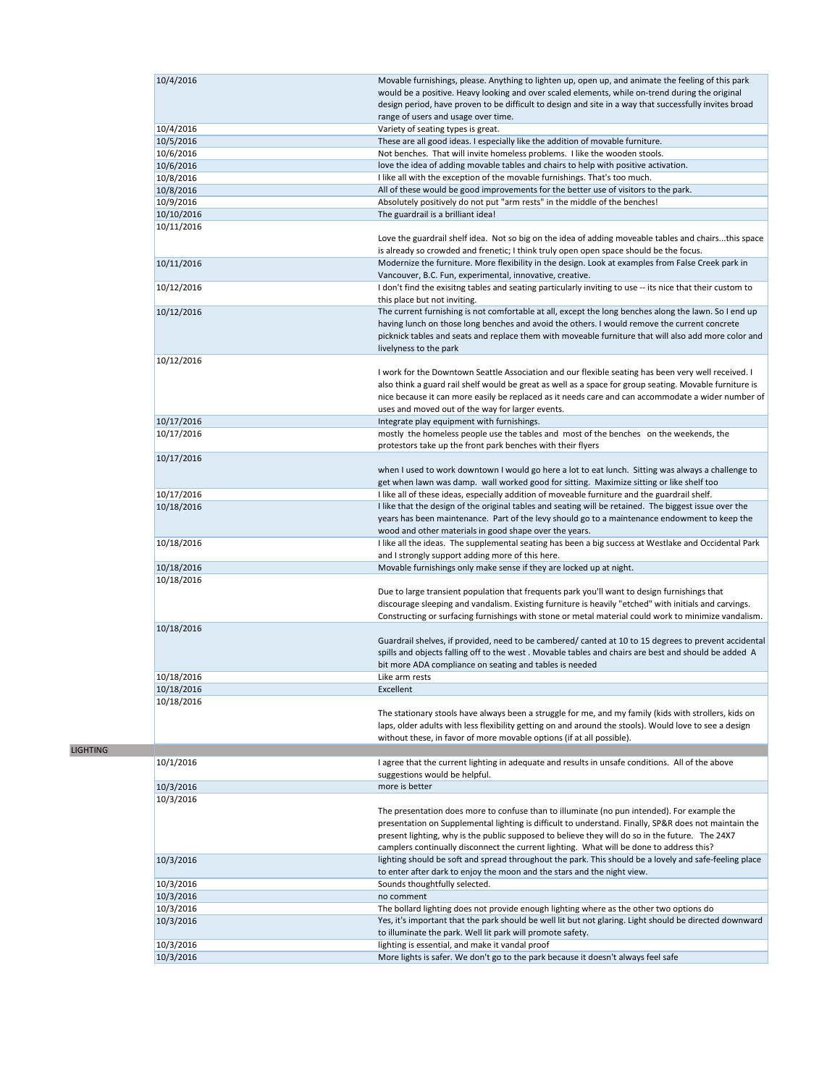|            | Movable furnishings, please. Anything to lighten up, open up, and animate the feeling of this park         |
|------------|------------------------------------------------------------------------------------------------------------|
| 10/4/2016  | would be a positive. Heavy looking and over scaled elements, while on-trend during the original            |
|            | design period, have proven to be difficult to design and site in a way that successfully invites broad     |
|            | range of users and usage over time.                                                                        |
|            |                                                                                                            |
| 10/4/2016  | Variety of seating types is great.                                                                         |
| 10/5/2016  | These are all good ideas. I especially like the addition of movable furniture.                             |
| 10/6/2016  | Not benches. That will invite homeless problems. I like the wooden stools.                                 |
| 10/6/2016  | love the idea of adding movable tables and chairs to help with positive activation.                        |
| 10/8/2016  | I like all with the exception of the movable furnishings. That's too much.                                 |
| 10/8/2016  | All of these would be good improvements for the better use of visitors to the park.                        |
| 10/9/2016  | Absolutely positively do not put "arm rests" in the middle of the benches!                                 |
| 10/10/2016 | The guardrail is a brilliant idea!                                                                         |
| 10/11/2016 |                                                                                                            |
|            | Love the guardrail shelf idea. Not so big on the idea of adding moveable tables and chairsthis space       |
|            | is already so crowded and frenetic; I think truly open open space should be the focus.                     |
| 10/11/2016 | Modernize the furniture. More flexibility in the design. Look at examples from False Creek park in         |
|            | Vancouver, B.C. Fun, experimental, innovative, creative.                                                   |
|            |                                                                                                            |
| 10/12/2016 | I don't find the exisitng tables and seating particularly inviting to use -- its nice that their custom to |
|            | this place but not inviting.                                                                               |
| 10/12/2016 | The current furnishing is not comfortable at all, except the long benches along the lawn. So I end up      |
|            | having lunch on those long benches and avoid the others. I would remove the current concrete               |
|            | picknick tables and seats and replace them with moveable furniture that will also add more color and       |
|            | livelyness to the park                                                                                     |
| 10/12/2016 |                                                                                                            |
|            | I work for the Downtown Seattle Association and our flexible seating has been very well received. I        |
|            | also think a guard rail shelf would be great as well as a space for group seating. Movable furniture is    |
|            |                                                                                                            |
|            | nice because it can more easily be replaced as it needs care and can accommodate a wider number of         |
|            | uses and moved out of the way for larger events.                                                           |
| 10/17/2016 | Integrate play equipment with furnishings.                                                                 |
| 10/17/2016 | mostly the homeless people use the tables and most of the benches on the weekends, the                     |
|            | protestors take up the front park benches with their flyers                                                |
| 10/17/2016 |                                                                                                            |
|            | when I used to work downtown I would go here a lot to eat lunch. Sitting was always a challenge to         |
|            | get when lawn was damp. wall worked good for sitting. Maximize sitting or like shelf too                   |
| 10/17/2016 | I like all of these ideas, especially addition of moveable furniture and the guardrail shelf.              |
| 10/18/2016 | I like that the design of the original tables and seating will be retained. The biggest issue over the     |
|            |                                                                                                            |
|            | years has been maintenance. Part of the levy should go to a maintenance endowment to keep the              |
|            | wood and other materials in good shape over the years.                                                     |
| 10/18/2016 | I like all the ideas. The supplemental seating has been a big success at Westlake and Occidental Park      |
|            | and I strongly support adding more of this here.                                                           |
| 10/18/2016 | Movable furnishings only make sense if they are locked up at night.                                        |
| 10/18/2016 |                                                                                                            |
|            | Due to large transient population that frequents park you'll want to design furnishings that               |
|            | discourage sleeping and vandalism. Existing furniture is heavily "etched" with initials and carvings.      |
|            | Constructing or surfacing furnishings with stone or metal material could work to minimize vandalism.       |
| 10/18/2016 |                                                                                                            |
|            |                                                                                                            |
|            |                                                                                                            |
|            | Guardrail shelves, if provided, need to be cambered/ canted at 10 to 15 degrees to prevent accidental      |
|            | spills and objects falling off to the west. Movable tables and chairs are best and should be added A       |
|            | bit more ADA compliance on seating and tables is needed                                                    |
| 10/18/2016 | Like arm rests                                                                                             |
| 10/18/2016 | Excellent                                                                                                  |
| 10/18/2016 |                                                                                                            |
|            |                                                                                                            |
|            | The stationary stools have always been a struggle for me, and my family (kids with strollers, kids on      |
|            | laps, older adults with less flexibility getting on and around the stools). Would love to see a design     |
|            | without these, in favor of more movable options (if at all possible).                                      |
|            |                                                                                                            |
| 10/1/2016  | I agree that the current lighting in adequate and results in unsafe conditions. All of the above           |
|            | suggestions would be helpful.                                                                              |
| 10/3/2016  | more is better                                                                                             |
| 10/3/2016  |                                                                                                            |
|            | The presentation does more to confuse than to illuminate (no pun intended). For example the                |
|            | presentation on Supplemental lighting is difficult to understand. Finally, SP&R does not maintain the      |
|            | present lighting, why is the public supposed to believe they will do so in the future. The 24X7            |
|            | camplers continually disconnect the current lighting. What will be done to address this?                   |
|            |                                                                                                            |
| 10/3/2016  | lighting should be soft and spread throughout the park. This should be a lovely and safe-feeling place     |
|            | to enter after dark to enjoy the moon and the stars and the night view.                                    |
| 10/3/2016  | Sounds thoughtfully selected.                                                                              |
| 10/3/2016  | no comment                                                                                                 |
| 10/3/2016  | The bollard lighting does not provide enough lighting where as the other two options do                    |
| 10/3/2016  | Yes, it's important that the park should be well lit but not glaring. Light should be directed downward    |
|            | to illuminate the park. Well lit park will promote safety.                                                 |
| 10/3/2016  | lighting is essential, and make it vandal proof                                                            |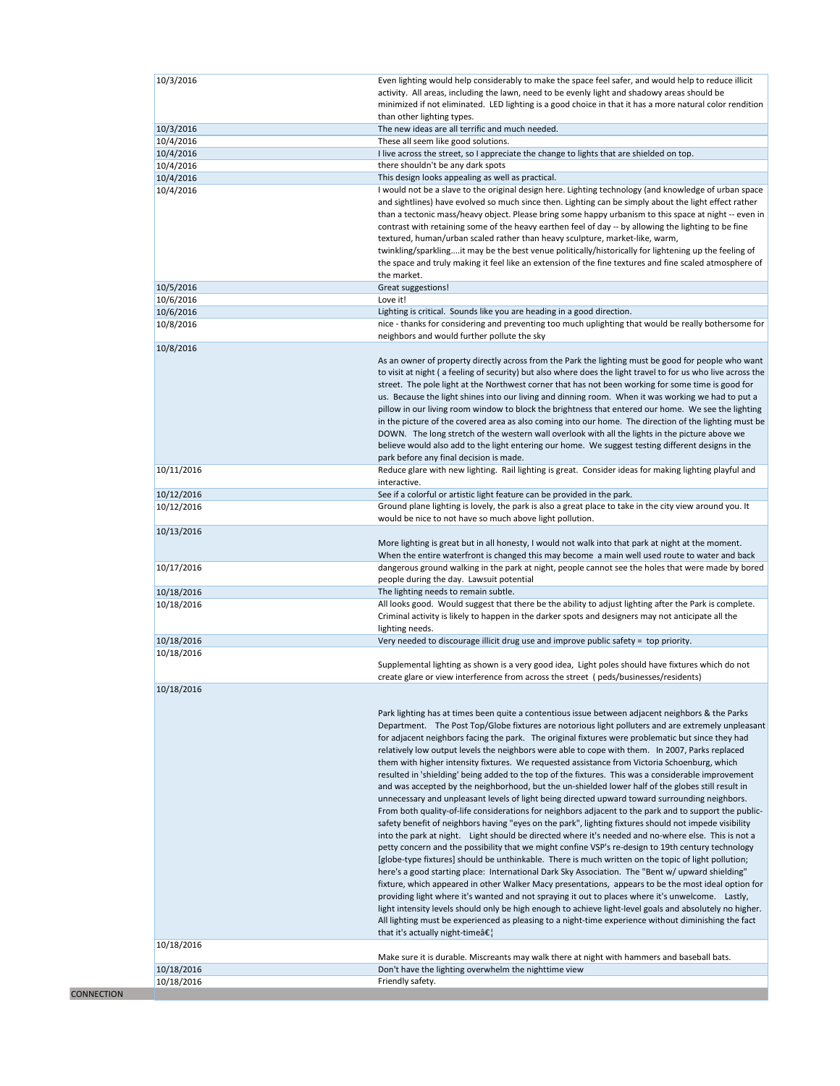|                          | Even lighting would help considerably to make the space feel safer, and would help to reduce illicit                                                                                                                                                                                                                                                                                                                                                                                                        |
|--------------------------|-------------------------------------------------------------------------------------------------------------------------------------------------------------------------------------------------------------------------------------------------------------------------------------------------------------------------------------------------------------------------------------------------------------------------------------------------------------------------------------------------------------|
|                          | activity. All areas, including the lawn, need to be evenly light and shadowy areas should be                                                                                                                                                                                                                                                                                                                                                                                                                |
|                          | minimized if not eliminated. LED lighting is a good choice in that it has a more natural color rendition                                                                                                                                                                                                                                                                                                                                                                                                    |
|                          | than other lighting types.                                                                                                                                                                                                                                                                                                                                                                                                                                                                                  |
| 10/3/2016                | The new ideas are all terrific and much needed.                                                                                                                                                                                                                                                                                                                                                                                                                                                             |
| 10/4/2016                | These all seem like good solutions.                                                                                                                                                                                                                                                                                                                                                                                                                                                                         |
| 10/4/2016                | I live across the street, so I appreciate the change to lights that are shielded on top.                                                                                                                                                                                                                                                                                                                                                                                                                    |
| 10/4/2016                | there shouldn't be any dark spots                                                                                                                                                                                                                                                                                                                                                                                                                                                                           |
| 10/4/2016                | This design looks appealing as well as practical.                                                                                                                                                                                                                                                                                                                                                                                                                                                           |
| 10/4/2016                | I would not be a slave to the original design here. Lighting technology (and knowledge of urban space                                                                                                                                                                                                                                                                                                                                                                                                       |
|                          | and sightlines) have evolved so much since then. Lighting can be simply about the light effect rather                                                                                                                                                                                                                                                                                                                                                                                                       |
|                          | than a tectonic mass/heavy object. Please bring some happy urbanism to this space at night -- even in                                                                                                                                                                                                                                                                                                                                                                                                       |
|                          | contrast with retaining some of the heavy earthen feel of day -- by allowing the lighting to be fine                                                                                                                                                                                                                                                                                                                                                                                                        |
|                          |                                                                                                                                                                                                                                                                                                                                                                                                                                                                                                             |
|                          | textured, human/urban scaled rather than heavy sculpture, market-like, warm,                                                                                                                                                                                                                                                                                                                                                                                                                                |
|                          | twinkling/sparklingit may be the best venue politically/historically for lightening up the feeling of                                                                                                                                                                                                                                                                                                                                                                                                       |
|                          | the space and truly making it feel like an extension of the fine textures and fine scaled atmosphere of                                                                                                                                                                                                                                                                                                                                                                                                     |
|                          | the market.                                                                                                                                                                                                                                                                                                                                                                                                                                                                                                 |
| 10/5/2016                | Great suggestions!                                                                                                                                                                                                                                                                                                                                                                                                                                                                                          |
| 10/6/2016                | Love it!                                                                                                                                                                                                                                                                                                                                                                                                                                                                                                    |
| 10/6/2016                | Lighting is critical. Sounds like you are heading in a good direction.                                                                                                                                                                                                                                                                                                                                                                                                                                      |
| 10/8/2016                | nice - thanks for considering and preventing too much uplighting that would be really bothersome for                                                                                                                                                                                                                                                                                                                                                                                                        |
|                          | neighbors and would further pollute the sky                                                                                                                                                                                                                                                                                                                                                                                                                                                                 |
|                          |                                                                                                                                                                                                                                                                                                                                                                                                                                                                                                             |
| 10/8/2016                |                                                                                                                                                                                                                                                                                                                                                                                                                                                                                                             |
|                          | As an owner of property directly across from the Park the lighting must be good for people who want                                                                                                                                                                                                                                                                                                                                                                                                         |
|                          | to visit at night (a feeling of security) but also where does the light travel to for us who live across the                                                                                                                                                                                                                                                                                                                                                                                                |
|                          | street. The pole light at the Northwest corner that has not been working for some time is good for                                                                                                                                                                                                                                                                                                                                                                                                          |
|                          | us. Because the light shines into our living and dinning room. When it was working we had to put a                                                                                                                                                                                                                                                                                                                                                                                                          |
|                          | pillow in our living room window to block the brightness that entered our home. We see the lighting                                                                                                                                                                                                                                                                                                                                                                                                         |
|                          | in the picture of the covered area as also coming into our home. The direction of the lighting must be                                                                                                                                                                                                                                                                                                                                                                                                      |
|                          | DOWN. The long stretch of the western wall overlook with all the lights in the picture above we                                                                                                                                                                                                                                                                                                                                                                                                             |
|                          | believe would also add to the light entering our home. We suggest testing different designs in the                                                                                                                                                                                                                                                                                                                                                                                                          |
|                          | park before any final decision is made.                                                                                                                                                                                                                                                                                                                                                                                                                                                                     |
| 10/11/2016               | Reduce glare with new lighting. Rail lighting is great. Consider ideas for making lighting playful and                                                                                                                                                                                                                                                                                                                                                                                                      |
|                          | interactive.                                                                                                                                                                                                                                                                                                                                                                                                                                                                                                |
|                          |                                                                                                                                                                                                                                                                                                                                                                                                                                                                                                             |
| 10/12/2016               | See if a colorful or artistic light feature can be provided in the park.                                                                                                                                                                                                                                                                                                                                                                                                                                    |
| 10/12/2016               | Ground plane lighting is lovely, the park is also a great place to take in the city view around you. It                                                                                                                                                                                                                                                                                                                                                                                                     |
|                          | would be nice to not have so much above light pollution.                                                                                                                                                                                                                                                                                                                                                                                                                                                    |
| 10/13/2016               |                                                                                                                                                                                                                                                                                                                                                                                                                                                                                                             |
|                          | More lighting is great but in all honesty, I would not walk into that park at night at the moment.                                                                                                                                                                                                                                                                                                                                                                                                          |
|                          | When the entire waterfront is changed this may become a main well used route to water and back                                                                                                                                                                                                                                                                                                                                                                                                              |
| 10/17/2016               | dangerous ground walking in the park at night, people cannot see the holes that were made by bored                                                                                                                                                                                                                                                                                                                                                                                                          |
|                          | people during the day. Lawsuit potential                                                                                                                                                                                                                                                                                                                                                                                                                                                                    |
| 10/18/2016               | The lighting needs to remain subtle.                                                                                                                                                                                                                                                                                                                                                                                                                                                                        |
| 10/18/2016               | All looks good. Would suggest that there be the ability to adjust lighting after the Park is complete.                                                                                                                                                                                                                                                                                                                                                                                                      |
|                          | Criminal activity is likely to happen in the darker spots and designers may not anticipate all the                                                                                                                                                                                                                                                                                                                                                                                                          |
|                          | lighting needs.                                                                                                                                                                                                                                                                                                                                                                                                                                                                                             |
|                          | Very needed to discourage illicit drug use and improve public safety = top priority.                                                                                                                                                                                                                                                                                                                                                                                                                        |
| 10/18/2016               |                                                                                                                                                                                                                                                                                                                                                                                                                                                                                                             |
| 10/18/2016               |                                                                                                                                                                                                                                                                                                                                                                                                                                                                                                             |
|                          | Supplemental lighting as shown is a very good idea, Light poles should have fixtures which do not                                                                                                                                                                                                                                                                                                                                                                                                           |
|                          | create glare or view interference from across the street (peds/businesses/residents)                                                                                                                                                                                                                                                                                                                                                                                                                        |
|                          |                                                                                                                                                                                                                                                                                                                                                                                                                                                                                                             |
|                          |                                                                                                                                                                                                                                                                                                                                                                                                                                                                                                             |
|                          |                                                                                                                                                                                                                                                                                                                                                                                                                                                                                                             |
| 10/18/2016               |                                                                                                                                                                                                                                                                                                                                                                                                                                                                                                             |
|                          | Park lighting has at times been quite a contentious issue between adjacent neighbors & the Parks                                                                                                                                                                                                                                                                                                                                                                                                            |
|                          |                                                                                                                                                                                                                                                                                                                                                                                                                                                                                                             |
|                          | for adjacent neighbors facing the park. The original fixtures were problematic but since they had                                                                                                                                                                                                                                                                                                                                                                                                           |
|                          | relatively low output levels the neighbors were able to cope with them. In 2007, Parks replaced                                                                                                                                                                                                                                                                                                                                                                                                             |
|                          | them with higher intensity fixtures. We requested assistance from Victoria Schoenburg, which                                                                                                                                                                                                                                                                                                                                                                                                                |
|                          | resulted in 'shielding' being added to the top of the fixtures. This was a considerable improvement                                                                                                                                                                                                                                                                                                                                                                                                         |
|                          | and was accepted by the neighborhood, but the un-shielded lower half of the globes still result in                                                                                                                                                                                                                                                                                                                                                                                                          |
|                          | unnecessary and unpleasant levels of light being directed upward toward surrounding neighbors.                                                                                                                                                                                                                                                                                                                                                                                                              |
|                          |                                                                                                                                                                                                                                                                                                                                                                                                                                                                                                             |
|                          |                                                                                                                                                                                                                                                                                                                                                                                                                                                                                                             |
|                          | safety benefit of neighbors having "eyes on the park", lighting fixtures should not impede visibility                                                                                                                                                                                                                                                                                                                                                                                                       |
|                          | into the park at night. Light should be directed where it's needed and no-where else. This is not a                                                                                                                                                                                                                                                                                                                                                                                                         |
|                          | petty concern and the possibility that we might confine VSP's re-design to 19th century technology                                                                                                                                                                                                                                                                                                                                                                                                          |
|                          | [globe-type fixtures] should be unthinkable. There is much written on the topic of light pollution;                                                                                                                                                                                                                                                                                                                                                                                                         |
|                          | here's a good starting place: International Dark Sky Association. The "Bent w/ upward shielding"                                                                                                                                                                                                                                                                                                                                                                                                            |
|                          |                                                                                                                                                                                                                                                                                                                                                                                                                                                                                                             |
|                          | providing light where it's wanted and not spraying it out to places where it's unwelcome. Lastly,                                                                                                                                                                                                                                                                                                                                                                                                           |
|                          |                                                                                                                                                                                                                                                                                                                                                                                                                                                                                                             |
|                          |                                                                                                                                                                                                                                                                                                                                                                                                                                                                                                             |
|                          | All lighting must be experienced as pleasing to a night-time experience without diminishing the fact                                                                                                                                                                                                                                                                                                                                                                                                        |
|                          | that it's actually night-time $\hat{a} \in \{$                                                                                                                                                                                                                                                                                                                                                                                                                                                              |
| 10/18/2016               |                                                                                                                                                                                                                                                                                                                                                                                                                                                                                                             |
|                          | Make sure it is durable. Miscreants may walk there at night with hammers and baseball bats.                                                                                                                                                                                                                                                                                                                                                                                                                 |
| 10/18/2016<br>10/18/2016 | Department. The Post Top/Globe fixtures are notorious light polluters and are extremely unpleasant<br>From both quality-of-life considerations for neighbors adjacent to the park and to support the public-<br>fixture, which appeared in other Walker Macy presentations, appears to be the most ideal option for<br>light intensity levels should only be high enough to achieve light-level goals and absolutely no higher.<br>Don't have the lighting overwhelm the nighttime view<br>Friendly safety. |

**CONNECTION**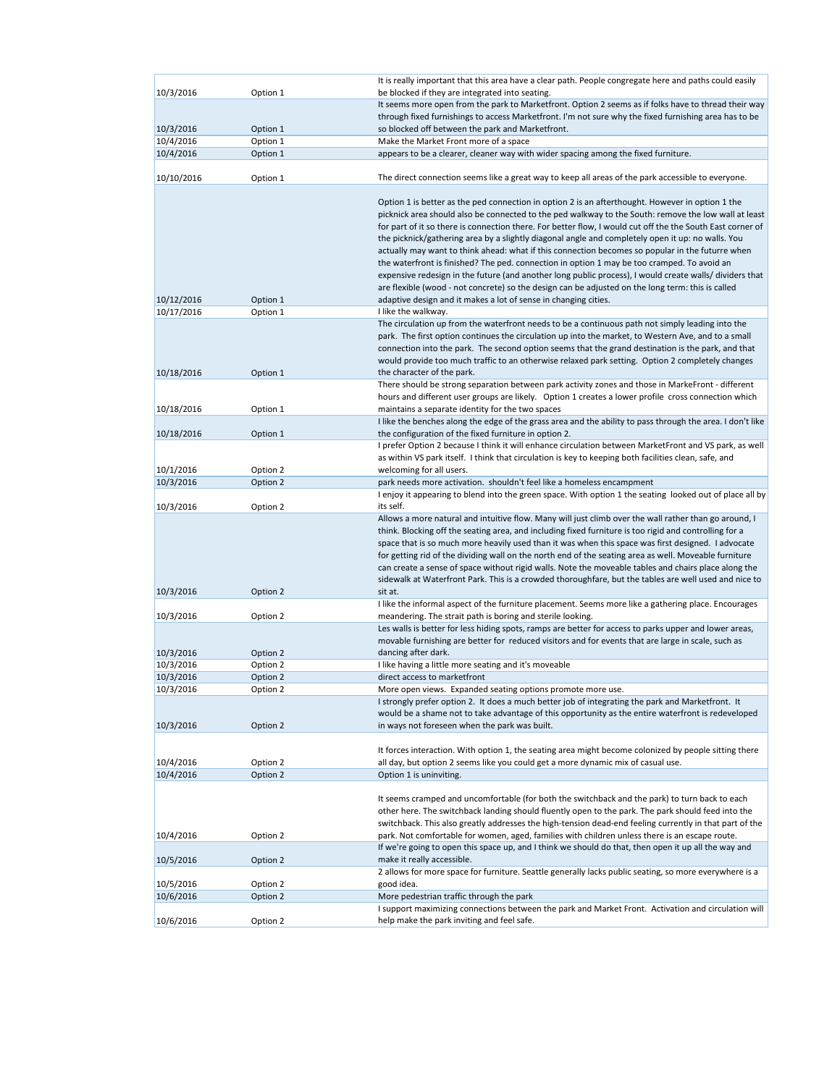| 10/3/2016                | Option 1             | It is really important that this area have a clear path. People congregate here and paths could easily<br>be blocked if they are integrated into seating.                                                |
|--------------------------|----------------------|----------------------------------------------------------------------------------------------------------------------------------------------------------------------------------------------------------|
|                          |                      | It seems more open from the park to Marketfront. Option 2 seems as if folks have to thread their way                                                                                                     |
|                          |                      | through fixed furnishings to access Marketfront. I'm not sure why the fixed furnishing area has to be                                                                                                    |
| 10/3/2016                | Option 1             | so blocked off between the park and Marketfront.                                                                                                                                                         |
| 10/4/2016                | Option 1             | Make the Market Front more of a space                                                                                                                                                                    |
| 10/4/2016                | Option 1             | appears to be a clearer, cleaner way with wider spacing among the fixed furniture.                                                                                                                       |
| 10/10/2016               | Option 1             | The direct connection seems like a great way to keep all areas of the park accessible to everyone.                                                                                                       |
|                          |                      |                                                                                                                                                                                                          |
|                          |                      | Option 1 is better as the ped connection in option 2 is an afterthought. However in option 1 the<br>picknick area should also be connected to the ped walkway to the South: remove the low wall at least |
|                          |                      | for part of it so there is connection there. For better flow, I would cut off the the South East corner of                                                                                               |
|                          |                      | the picknick/gathering area by a slightly diagonal angle and completely open it up: no walls. You                                                                                                        |
|                          |                      | actually may want to think ahead: what if this connection becomes so popular in the futurre when                                                                                                         |
|                          |                      | the waterfront is finished? The ped. connection in option 1 may be too cramped. To avoid an                                                                                                              |
|                          |                      | expensive redesign in the future (and another long public process), I would create walls/ dividers that                                                                                                  |
|                          |                      | are flexible (wood - not concrete) so the design can be adjusted on the long term: this is called                                                                                                        |
| 10/12/2016<br>10/17/2016 | Option 1<br>Option 1 | adaptive design and it makes a lot of sense in changing cities.<br>I like the walkway.                                                                                                                   |
|                          |                      | The circulation up from the waterfront needs to be a continuous path not simply leading into the                                                                                                         |
|                          |                      | park. The first option continues the circulation up into the market, to Western Ave, and to a small                                                                                                      |
|                          |                      | connection into the park. The second option seems that the grand destination is the park, and that                                                                                                       |
|                          |                      | would provide too much traffic to an otherwise relaxed park setting. Option 2 completely changes                                                                                                         |
| 10/18/2016               | Option 1             | the character of the park.                                                                                                                                                                               |
|                          |                      | There should be strong separation between park activity zones and those in MarkeFront - different                                                                                                        |
|                          |                      | hours and different user groups are likely. Option 1 creates a lower profile cross connection which                                                                                                      |
| 10/18/2016               | Option 1             | maintains a separate identity for the two spaces<br>I like the benches along the edge of the grass area and the ability to pass through the area. I don't like                                           |
| 10/18/2016               | Option 1             | the configuration of the fixed furniture in option 2.                                                                                                                                                    |
|                          |                      | I prefer Option 2 because I think it will enhance circulation between MarketFront and VS park, as well                                                                                                   |
|                          |                      | as within VS park itself. I think that circulation is key to keeping both facilities clean, safe, and                                                                                                    |
| 10/1/2016                | Option 2             | welcoming for all users.                                                                                                                                                                                 |
| 10/3/2016                | Option 2             | park needs more activation. shouldn't feel like a homeless encampment                                                                                                                                    |
|                          |                      | I enjoy it appearing to blend into the green space. With option 1 the seating looked out of place all by                                                                                                 |
| 10/3/2016                | Option 2             | its self.<br>Allows a more natural and intuitive flow. Many will just climb over the wall rather than go around, I                                                                                       |
|                          |                      | think. Blocking off the seating area, and including fixed furniture is too rigid and controlling for a                                                                                                   |
|                          |                      | space that is so much more heavily used than it was when this space was first designed. I advocate                                                                                                       |
|                          |                      | for getting rid of the dividing wall on the north end of the seating area as well. Moveable furniture                                                                                                    |
|                          |                      | can create a sense of space without rigid walls. Note the moveable tables and chairs place along the                                                                                                     |
|                          |                      | sidewalk at Waterfront Park. This is a crowded thoroughfare, but the tables are well used and nice to                                                                                                    |
| 10/3/2016                | Option 2             | sit at.                                                                                                                                                                                                  |
| 10/3/2016                | Option 2             | I like the informal aspect of the furniture placement. Seems more like a gathering place. Encourages<br>meandering. The strait path is boring and sterile looking.                                       |
|                          |                      | Les walls is better for less hiding spots, ramps are better for access to parks upper and lower areas,                                                                                                   |
|                          |                      | movable furnishing are better for reduced visitors and for events that are large in scale, such as                                                                                                       |
| 10/3/2016                | Option 2             | dancing after dark.                                                                                                                                                                                      |
| 10/3/2016                | Option 2             | I like having a little more seating and it's moveable                                                                                                                                                    |
| 10/3/2016                | Option 2             | direct access to marketfront                                                                                                                                                                             |
| 10/3/2016                | Option 2             | More open views. Expanded seating options promote more use.                                                                                                                                              |
|                          |                      | I strongly prefer option 2. It does a much better job of integrating the park and Marketfront. It<br>would be a shame not to take advantage of this opportunity as the entire waterfront is redeveloped  |
| 10/3/2016                | Option 2             | in ways not foreseen when the park was built.                                                                                                                                                            |
|                          |                      |                                                                                                                                                                                                          |
|                          |                      | It forces interaction. With option 1, the seating area might become colonized by people sitting there                                                                                                    |
| 10/4/2016                | Option 2             | all day, but option 2 seems like you could get a more dynamic mix of casual use.                                                                                                                         |
| 10/4/2016                | Option 2             | Option 1 is uninviting.                                                                                                                                                                                  |
|                          |                      |                                                                                                                                                                                                          |
|                          |                      | It seems cramped and uncomfortable (for both the switchback and the park) to turn back to each<br>other here. The switchback landing should fluently open to the park. The park should feed into the     |
|                          |                      | switchback. This also greatly addresses the high-tension dead-end feeling currently in that part of the                                                                                                  |
| 10/4/2016                | Option 2             | park. Not comfortable for women, aged, families with children unless there is an escape route.                                                                                                           |
|                          |                      | If we're going to open this space up, and I think we should do that, then open it up all the way and                                                                                                     |
| 10/5/2016                | Option 2             | make it really accessible.                                                                                                                                                                               |
|                          |                      | 2 allows for more space for furniture. Seattle generally lacks public seating, so more everywhere is a                                                                                                   |
| 10/5/2016                | Option 2             | good idea.                                                                                                                                                                                               |
| 10/6/2016                | Option 2             | More pedestrian traffic through the park                                                                                                                                                                 |
| 10/6/2016                | Option 2             | I support maximizing connections between the park and Market Front. Activation and circulation will<br>help make the park inviting and feel safe.                                                        |
|                          |                      |                                                                                                                                                                                                          |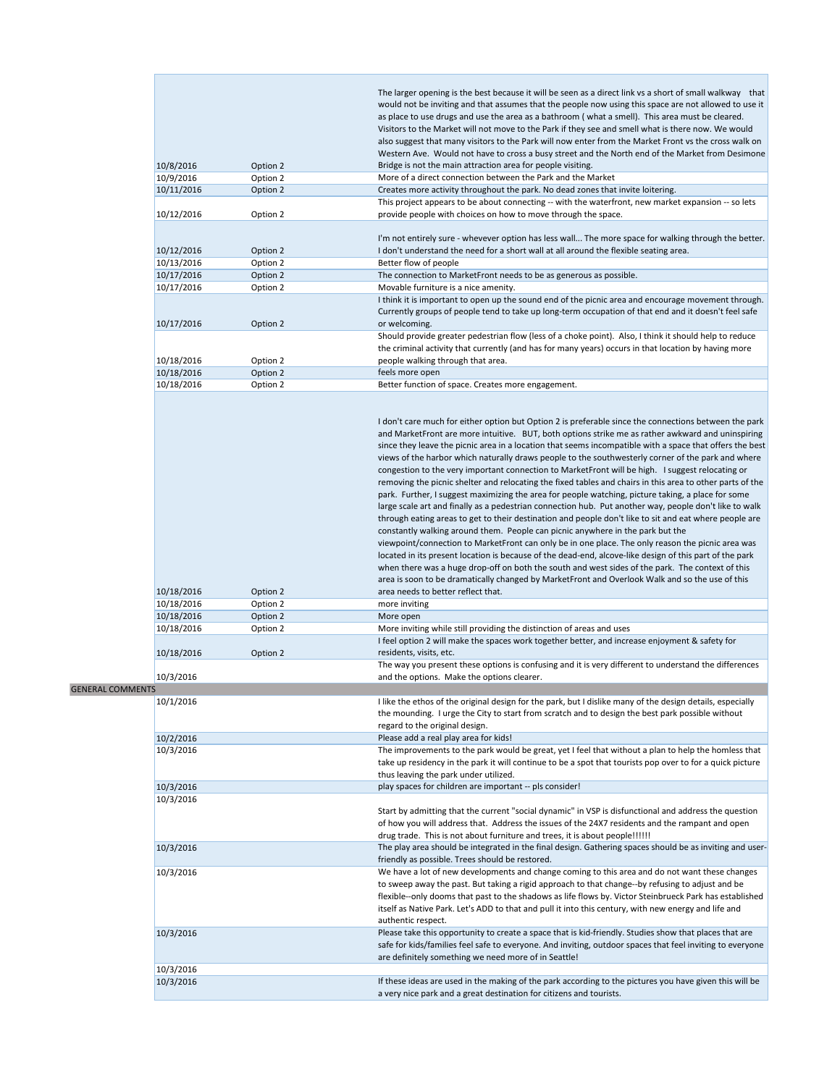|                         |            |          | The larger opening is the best because it will be seen as a direct link vs a short of small walkway that   |
|-------------------------|------------|----------|------------------------------------------------------------------------------------------------------------|
|                         |            |          | would not be inviting and that assumes that the people now using this space are not allowed to use it      |
|                         |            |          | as place to use drugs and use the area as a bathroom (what a smell). This area must be cleared.            |
|                         |            |          | Visitors to the Market will not move to the Park if they see and smell what is there now. We would         |
|                         |            |          | also suggest that many visitors to the Park will now enter from the Market Front vs the cross walk on      |
|                         |            |          | Western Ave. Would not have to cross a busy street and the North end of the Market from Desimone           |
|                         | 10/8/2016  | Option 2 | Bridge is not the main attraction area for people visiting.                                                |
|                         | 10/9/2016  | Option 2 | More of a direct connection between the Park and the Market                                                |
|                         | 10/11/2016 | Option 2 | Creates more activity throughout the park. No dead zones that invite loitering.                            |
|                         |            |          | This project appears to be about connecting -- with the waterfront, new market expansion -- so lets        |
|                         | 10/12/2016 | Option 2 | provide people with choices on how to move through the space.                                              |
|                         |            |          |                                                                                                            |
|                         |            |          | I'm not entirely sure - whevever option has less wall The more space for walking through the better.       |
|                         | 10/12/2016 | Option 2 | I don't understand the need for a short wall at all around the flexible seating area.                      |
|                         | 10/13/2016 | Option 2 | Better flow of people                                                                                      |
|                         | 10/17/2016 | Option 2 | The connection to MarketFront needs to be as generous as possible.                                         |
|                         | 10/17/2016 | Option 2 | Movable furniture is a nice amenity.                                                                       |
|                         |            |          | I think it is important to open up the sound end of the picnic area and encourage movement through.        |
|                         |            |          | Currently groups of people tend to take up long-term occupation of that end and it doesn't feel safe       |
|                         | 10/17/2016 | Option 2 | or welcoming.                                                                                              |
|                         |            |          | Should provide greater pedestrian flow (less of a choke point). Also, I think it should help to reduce     |
|                         |            |          | the criminal activity that currently (and has for many years) occurs in that location by having more       |
|                         | 10/18/2016 | Option 2 | people walking through that area.                                                                          |
|                         | 10/18/2016 | Option 2 | feels more open                                                                                            |
|                         | 10/18/2016 | Option 2 | Better function of space. Creates more engagement.                                                         |
|                         |            |          |                                                                                                            |
|                         |            |          |                                                                                                            |
|                         |            |          | I don't care much for either option but Option 2 is preferable since the connections between the park      |
|                         |            |          |                                                                                                            |
|                         |            |          | and MarketFront are more intuitive. BUT, both options strike me as rather awkward and uninspiring          |
|                         |            |          | since they leave the picnic area in a location that seems incompatible with a space that offers the best   |
|                         |            |          | views of the harbor which naturally draws people to the southwesterly corner of the park and where         |
|                         |            |          | congestion to the very important connection to MarketFront will be high. I suggest relocating or           |
|                         |            |          | removing the picnic shelter and relocating the fixed tables and chairs in this area to other parts of the  |
|                         |            |          | park. Further, I suggest maximizing the area for people watching, picture taking, a place for some         |
|                         |            |          | large scale art and finally as a pedestrian connection hub. Put another way, people don't like to walk     |
|                         |            |          | through eating areas to get to their destination and people don't like to sit and eat where people are     |
|                         |            |          | constantly walking around them. People can picnic anywhere in the park but the                             |
|                         |            |          | viewpoint/connection to MarketFront can only be in one place. The only reason the picnic area was          |
|                         |            |          | located in its present location is because of the dead-end, alcove-like design of this part of the park    |
|                         |            |          | when there was a huge drop-off on both the south and west sides of the park. The context of this           |
|                         |            |          | area is soon to be dramatically changed by MarketFront and Overlook Walk and so the use of this            |
|                         | 10/18/2016 | Option 2 | area needs to better reflect that.                                                                         |
|                         | 10/18/2016 | Option 2 | more inviting                                                                                              |
|                         | 10/18/2016 | Option 2 | More open                                                                                                  |
|                         | 10/18/2016 | Option 2 | More inviting while still providing the distinction of areas and uses                                      |
|                         |            |          | I feel option 2 will make the spaces work together better, and increase enjoyment & safety for             |
|                         |            |          |                                                                                                            |
|                         | 10/18/2016 | Option 2 | residents, visits, etc.                                                                                    |
|                         |            |          | The way you present these options is confusing and it is very different to understand the differences      |
|                         | 10/3/2016  |          | and the options. Make the options clearer.                                                                 |
| <b>GENERAL COMMENTS</b> |            |          |                                                                                                            |
|                         | 10/1/2016  |          | I like the ethos of the original design for the park, but I dislike many of the design details, especially |
|                         |            |          | the mounding. I urge the City to start from scratch and to design the best park possible without           |
|                         |            |          | regard to the original design.                                                                             |
|                         | 10/2/2016  |          | Please add a real play area for kids!                                                                      |
|                         | 10/3/2016  |          | The improvements to the park would be great, yet I feel that without a plan to help the homless that       |
|                         |            |          | take up residency in the park it will continue to be a spot that tourists pop over to for a quick picture  |
|                         |            |          | thus leaving the park under utilized.                                                                      |
|                         | 10/3/2016  |          | play spaces for children are important -- pls consider!                                                    |
|                         | 10/3/2016  |          |                                                                                                            |
|                         |            |          | Start by admitting that the current "social dynamic" in VSP is disfunctional and address the question      |
|                         |            |          | of how you will address that. Address the issues of the 24X7 residents and the rampant and open            |
|                         |            |          | drug trade. This is not about furniture and trees, it is about people!!!!!!                                |
|                         | 10/3/2016  |          | The play area should be integrated in the final design. Gathering spaces should be as inviting and user-   |
|                         |            |          | friendly as possible. Trees should be restored.                                                            |
|                         | 10/3/2016  |          | We have a lot of new developments and change coming to this area and do not want these changes             |
|                         |            |          | to sweep away the past. But taking a rigid approach to that change--by refusing to adjust and be           |
|                         |            |          | flexible--only dooms that past to the shadows as life flows by. Victor Steinbrueck Park has established    |
|                         |            |          |                                                                                                            |
|                         |            |          | itself as Native Park. Let's ADD to that and pull it into this century, with new energy and life and       |
|                         |            |          | authentic respect.                                                                                         |
|                         | 10/3/2016  |          | Please take this opportunity to create a space that is kid-friendly. Studies show that places that are     |
|                         |            |          | safe for kids/families feel safe to everyone. And inviting, outdoor spaces that feel inviting to everyone  |
|                         |            |          | are definitely something we need more of in Seattle!                                                       |
|                         | 10/3/2016  |          |                                                                                                            |
|                         | 10/3/2016  |          | If these ideas are used in the making of the park according to the pictures you have given this will be    |
|                         |            |          | a very nice park and a great destination for citizens and tourists.                                        |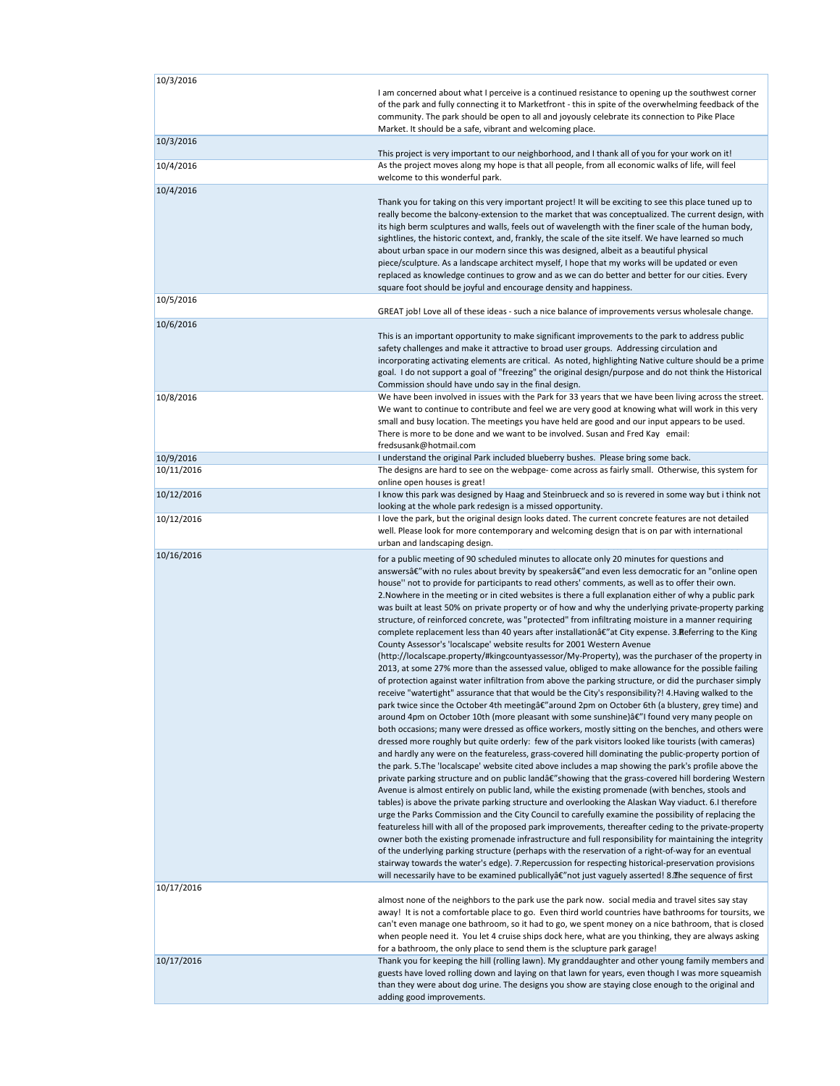| 10/3/2016  | I am concerned about what I perceive is a continued resistance to opening up the southwest corner<br>of the park and fully connecting it to Marketfront - this in spite of the overwhelming feedback of the<br>community. The park should be open to all and joyously celebrate its connection to Pike Place                                                                                                                                                                                                                                                                                                                                                                                                                                                                                                                                                                                                                                                                                                                                                                                                                                                                                                                                                                                                                                                                                                                                                                                                                                                                                                                                                                                                                                                                                                                                                                                                                                                                                                                                                                                                                                                                                                                                                                                                                                                                                                                                                                                                                                                                                                                                                                                                                                                                                                                                                 |
|------------|--------------------------------------------------------------------------------------------------------------------------------------------------------------------------------------------------------------------------------------------------------------------------------------------------------------------------------------------------------------------------------------------------------------------------------------------------------------------------------------------------------------------------------------------------------------------------------------------------------------------------------------------------------------------------------------------------------------------------------------------------------------------------------------------------------------------------------------------------------------------------------------------------------------------------------------------------------------------------------------------------------------------------------------------------------------------------------------------------------------------------------------------------------------------------------------------------------------------------------------------------------------------------------------------------------------------------------------------------------------------------------------------------------------------------------------------------------------------------------------------------------------------------------------------------------------------------------------------------------------------------------------------------------------------------------------------------------------------------------------------------------------------------------------------------------------------------------------------------------------------------------------------------------------------------------------------------------------------------------------------------------------------------------------------------------------------------------------------------------------------------------------------------------------------------------------------------------------------------------------------------------------------------------------------------------------------------------------------------------------------------------------------------------------------------------------------------------------------------------------------------------------------------------------------------------------------------------------------------------------------------------------------------------------------------------------------------------------------------------------------------------------------------------------------------------------------------------------------------------------|
| 10/3/2016  | Market. It should be a safe, vibrant and welcoming place.<br>This project is very important to our neighborhood, and I thank all of you for your work on it!                                                                                                                                                                                                                                                                                                                                                                                                                                                                                                                                                                                                                                                                                                                                                                                                                                                                                                                                                                                                                                                                                                                                                                                                                                                                                                                                                                                                                                                                                                                                                                                                                                                                                                                                                                                                                                                                                                                                                                                                                                                                                                                                                                                                                                                                                                                                                                                                                                                                                                                                                                                                                                                                                                 |
| 10/4/2016  | As the project moves along my hope is that all people, from all economic walks of life, will feel<br>welcome to this wonderful park.                                                                                                                                                                                                                                                                                                                                                                                                                                                                                                                                                                                                                                                                                                                                                                                                                                                                                                                                                                                                                                                                                                                                                                                                                                                                                                                                                                                                                                                                                                                                                                                                                                                                                                                                                                                                                                                                                                                                                                                                                                                                                                                                                                                                                                                                                                                                                                                                                                                                                                                                                                                                                                                                                                                         |
| 10/4/2016  | Thank you for taking on this very important project! It will be exciting to see this place tuned up to<br>really become the balcony-extension to the market that was conceptualized. The current design, with<br>its high berm sculptures and walls, feels out of wavelength with the finer scale of the human body,<br>sightlines, the historic context, and, frankly, the scale of the site itself. We have learned so much<br>about urban space in our modern since this was designed, albeit as a beautiful physical<br>piece/sculpture. As a landscape architect myself, I hope that my works will be updated or even<br>replaced as knowledge continues to grow and as we can do better and better for our cities. Every<br>square foot should be joyful and encourage density and happiness.                                                                                                                                                                                                                                                                                                                                                                                                                                                                                                                                                                                                                                                                                                                                                                                                                                                                                                                                                                                                                                                                                                                                                                                                                                                                                                                                                                                                                                                                                                                                                                                                                                                                                                                                                                                                                                                                                                                                                                                                                                                          |
| 10/5/2016  | GREAT job! Love all of these ideas - such a nice balance of improvements versus wholesale change.                                                                                                                                                                                                                                                                                                                                                                                                                                                                                                                                                                                                                                                                                                                                                                                                                                                                                                                                                                                                                                                                                                                                                                                                                                                                                                                                                                                                                                                                                                                                                                                                                                                                                                                                                                                                                                                                                                                                                                                                                                                                                                                                                                                                                                                                                                                                                                                                                                                                                                                                                                                                                                                                                                                                                            |
| 10/6/2016  | This is an important opportunity to make significant improvements to the park to address public<br>safety challenges and make it attractive to broad user groups. Addressing circulation and<br>incorporating activating elements are critical. As noted, highlighting Native culture should be a prime<br>goal. I do not support a goal of "freezing" the original design/purpose and do not think the Historical<br>Commission should have undo say in the final design.                                                                                                                                                                                                                                                                                                                                                                                                                                                                                                                                                                                                                                                                                                                                                                                                                                                                                                                                                                                                                                                                                                                                                                                                                                                                                                                                                                                                                                                                                                                                                                                                                                                                                                                                                                                                                                                                                                                                                                                                                                                                                                                                                                                                                                                                                                                                                                                   |
| 10/8/2016  | We have been involved in issues with the Park for 33 years that we have been living across the street.<br>We want to continue to contribute and feel we are very good at knowing what will work in this very<br>small and busy location. The meetings you have held are good and our input appears to be used.<br>There is more to be done and we want to be involved. Susan and Fred Kay email:<br>fredsusank@hotmail.com                                                                                                                                                                                                                                                                                                                                                                                                                                                                                                                                                                                                                                                                                                                                                                                                                                                                                                                                                                                                                                                                                                                                                                                                                                                                                                                                                                                                                                                                                                                                                                                                                                                                                                                                                                                                                                                                                                                                                                                                                                                                                                                                                                                                                                                                                                                                                                                                                                   |
| 10/9/2016  | I understand the original Park included blueberry bushes. Please bring some back.                                                                                                                                                                                                                                                                                                                                                                                                                                                                                                                                                                                                                                                                                                                                                                                                                                                                                                                                                                                                                                                                                                                                                                                                                                                                                                                                                                                                                                                                                                                                                                                                                                                                                                                                                                                                                                                                                                                                                                                                                                                                                                                                                                                                                                                                                                                                                                                                                                                                                                                                                                                                                                                                                                                                                                            |
| 10/11/2016 | The designs are hard to see on the webpage- come across as fairly small. Otherwise, this system for<br>online open houses is great!                                                                                                                                                                                                                                                                                                                                                                                                                                                                                                                                                                                                                                                                                                                                                                                                                                                                                                                                                                                                                                                                                                                                                                                                                                                                                                                                                                                                                                                                                                                                                                                                                                                                                                                                                                                                                                                                                                                                                                                                                                                                                                                                                                                                                                                                                                                                                                                                                                                                                                                                                                                                                                                                                                                          |
| 10/12/2016 | I know this park was designed by Haag and Steinbrueck and so is revered in some way but i think not<br>looking at the whole park redesign is a missed opportunity.                                                                                                                                                                                                                                                                                                                                                                                                                                                                                                                                                                                                                                                                                                                                                                                                                                                                                                                                                                                                                                                                                                                                                                                                                                                                                                                                                                                                                                                                                                                                                                                                                                                                                                                                                                                                                                                                                                                                                                                                                                                                                                                                                                                                                                                                                                                                                                                                                                                                                                                                                                                                                                                                                           |
| 10/12/2016 | I love the park, but the original design looks dated. The current concrete features are not detailed<br>well. Please look for more contemporary and welcoming design that is on par with international<br>urban and landscaping design.                                                                                                                                                                                                                                                                                                                                                                                                                                                                                                                                                                                                                                                                                                                                                                                                                                                                                                                                                                                                                                                                                                                                                                                                                                                                                                                                                                                                                                                                                                                                                                                                                                                                                                                                                                                                                                                                                                                                                                                                                                                                                                                                                                                                                                                                                                                                                                                                                                                                                                                                                                                                                      |
| 10/16/2016 | for a public meeting of 90 scheduled minutes to allocate only 20 minutes for questions and<br>answersâ€"with no rules about brevity by speakersâ€"and even less democratic for an "online open<br>house" not to provide for participants to read others' comments, as well as to offer their own.<br>2. Nowhere in the meeting or in cited websites is there a full explanation either of why a public park<br>was built at least 50% on private property or of how and why the underlying private-property parking<br>structure, of reinforced concrete, was "protected" from infiltrating moisture in a manner requiring<br>complete replacement less than 40 years after installationâ€" at City expense. 3. Referring to the King<br>County Assessor's 'localscape' website results for 2001 Western Avenue<br>(http://localscape.property/#kingcountyassessor/My-Property), was the purchaser of the property in<br>2013, at some 27% more than the assessed value, obliged to make allowance for the possible failing<br>of protection against water infiltration from above the parking structure, or did the purchaser simply<br>receive "watertight" assurance that that would be the City's responsibility?! 4. Having walked to the<br>park twice since the October 4th meetingâ€" around 2pm on October 6th (a blustery, grey time) and<br>around 4pm on October 10th (more pleasant with some sunshine)â€"I found very many people on<br>both occasions; many were dressed as office workers, mostly sitting on the benches, and others were<br>dressed more roughly but quite orderly: few of the park visitors looked like tourists (with cameras)<br>and hardly any were on the featureless, grass-covered hill dominating the public-property portion of<br>the park. 5. The 'localscape' website cited above includes a map showing the park's profile above the<br>private parking structure and on public landâ€"showing that the grass-covered hill bordering Western<br>Avenue is almost entirely on public land, while the existing promenade (with benches, stools and<br>tables) is above the private parking structure and overlooking the Alaskan Way viaduct. 6.I therefore<br>urge the Parks Commission and the City Council to carefully examine the possibility of replacing the<br>featureless hill with all of the proposed park improvements, thereafter ceding to the private-property<br>owner both the existing promenade infrastructure and full responsibility for maintaining the integrity<br>of the underlying parking structure (perhaps with the reservation of a right-of-way for an eventual<br>stairway towards the water's edge). 7. Repercussion for respecting historical-preservation provisions<br>will necessarily have to be examined publicallyâ€"not just vaguely asserted! 8. The sequence of first |
| 10/17/2016 | almost none of the neighbors to the park use the park now. social media and travel sites say stay<br>away! It is not a comfortable place to go. Even third world countries have bathrooms for toursits, we<br>can't even manage one bathroom, so it had to go, we spent money on a nice bathroom, that is closed<br>when people need it. You let 4 cruise ships dock here, what are you thinking, they are always asking                                                                                                                                                                                                                                                                                                                                                                                                                                                                                                                                                                                                                                                                                                                                                                                                                                                                                                                                                                                                                                                                                                                                                                                                                                                                                                                                                                                                                                                                                                                                                                                                                                                                                                                                                                                                                                                                                                                                                                                                                                                                                                                                                                                                                                                                                                                                                                                                                                     |
| 10/17/2016 | for a bathroom, the only place to send them is the sclupture park garage!<br>Thank you for keeping the hill (rolling lawn). My granddaughter and other young family members and<br>guests have loved rolling down and laying on that lawn for years, even though I was more squeamish<br>than they were about dog urine. The designs you show are staying close enough to the original and<br>adding good improvements.                                                                                                                                                                                                                                                                                                                                                                                                                                                                                                                                                                                                                                                                                                                                                                                                                                                                                                                                                                                                                                                                                                                                                                                                                                                                                                                                                                                                                                                                                                                                                                                                                                                                                                                                                                                                                                                                                                                                                                                                                                                                                                                                                                                                                                                                                                                                                                                                                                      |